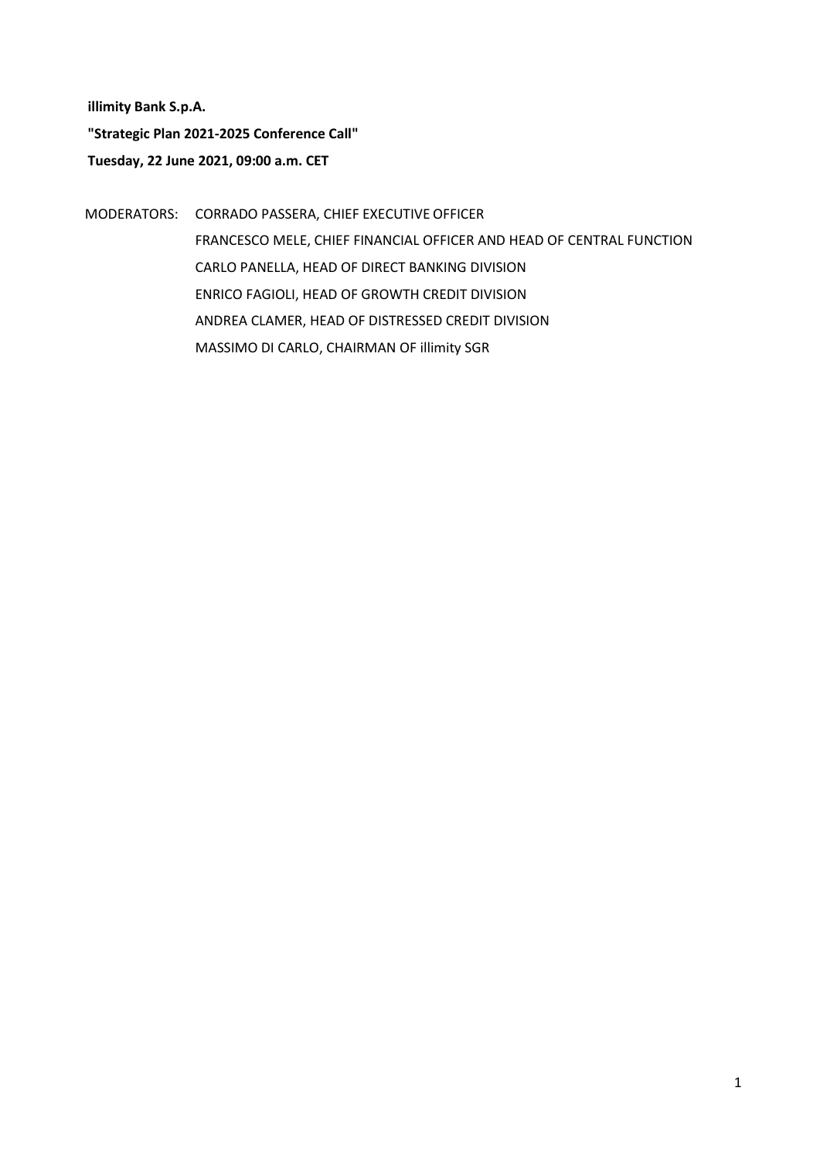**illimity Bank S.p.A. "Strategic Plan 2021-2025 Conference Call" Tuesday, 22 June 2021, 09:00 a.m. CET**

MODERATORS: CORRADO PASSERA, CHIEF EXECUTIVE OFFICER FRANCESCO MELE, CHIEF FINANCIAL OFFICER AND HEAD OF CENTRAL FUNCTION CARLO PANELLA, HEAD OF DIRECT BANKING DIVISION ENRICO FAGIOLI, HEAD OF GROWTH CREDIT DIVISION ANDREA CLAMER, HEAD OF DISTRESSED CREDIT DIVISION MASSIMO DI CARLO, CHAIRMAN OF illimity SGR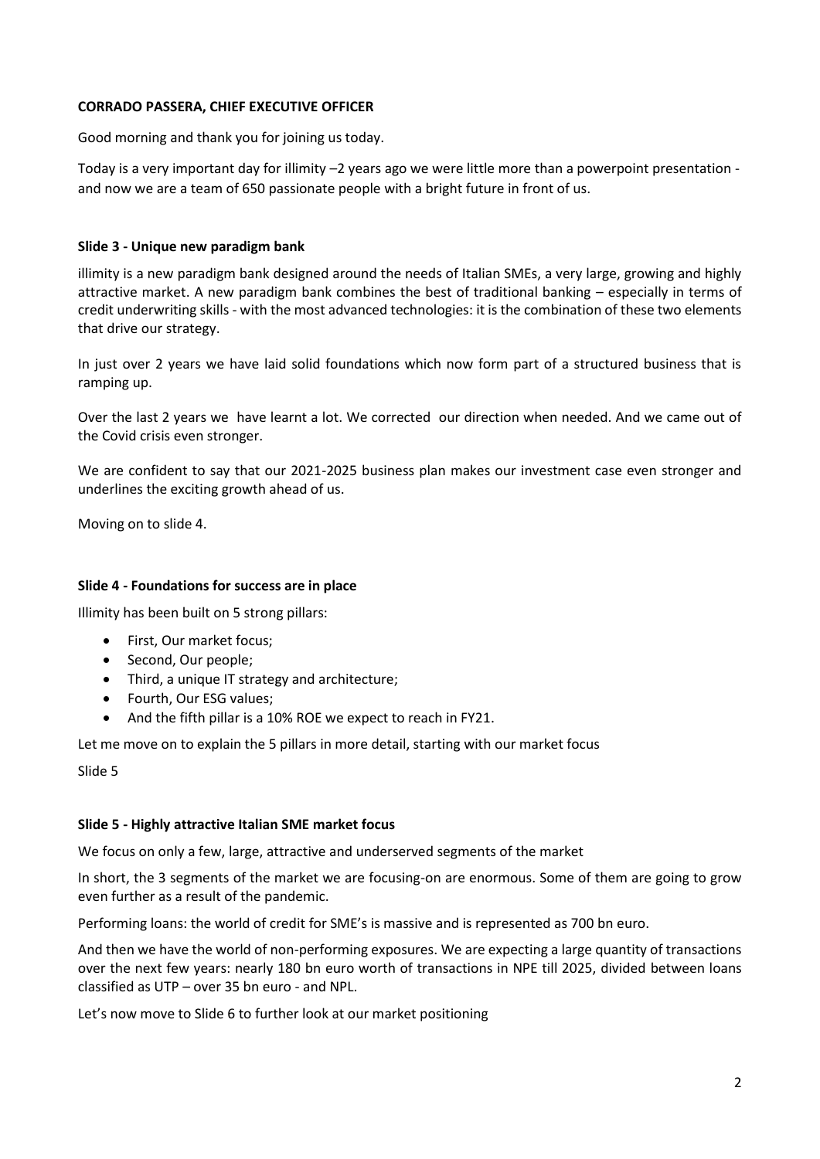### **CORRADO PASSERA, CHIEF EXECUTIVE OFFICER**

Good morning and thank you for joining us today.

Today is a very important day for illimity –2 years ago we were little more than a powerpoint presentation and now we are a team of 650 passionate people with a bright future in front of us.

### **Slide 3 - Unique new paradigm bank**

illimity is a new paradigm bank designed around the needs of Italian SMEs, a very large, growing and highly attractive market. A new paradigm bank combines the best of traditional banking – especially in terms of credit underwriting skills - with the most advanced technologies: it is the combination of these two elements that drive our strategy.

In just over 2 years we have laid solid foundations which now form part of a structured business that is ramping up.

Over the last 2 years we have learnt a lot. We corrected our direction when needed. And we came out of the Covid crisis even stronger.

We are confident to say that our 2021-2025 business plan makes our investment case even stronger and underlines the exciting growth ahead of us.

Moving on to slide 4.

## **Slide 4 - Foundations for success are in place**

Illimity has been built on 5 strong pillars:

- First, Our market focus;
- Second, Our people;
- Third, a unique IT strategy and architecture;
- Fourth, Our ESG values;
- And the fifth pillar is a 10% ROE we expect to reach in FY21.

Let me move on to explain the 5 pillars in more detail, starting with our market focus

Slide 5

#### **Slide 5 - Highly attractive Italian SME market focus**

We focus on only a few, large, attractive and underserved segments of the market

In short, the 3 segments of the market we are focusing-on are enormous. Some of them are going to grow even further as a result of the pandemic.

Performing loans: the world of credit for SME's is massive and is represented as 700 bn euro.

And then we have the world of non-performing exposures. We are expecting a large quantity of transactions over the next few years: nearly 180 bn euro worth of transactions in NPE till 2025, divided between loans classified as UTP – over 35 bn euro - and NPL.

Let's now move to Slide 6 to further look at our market positioning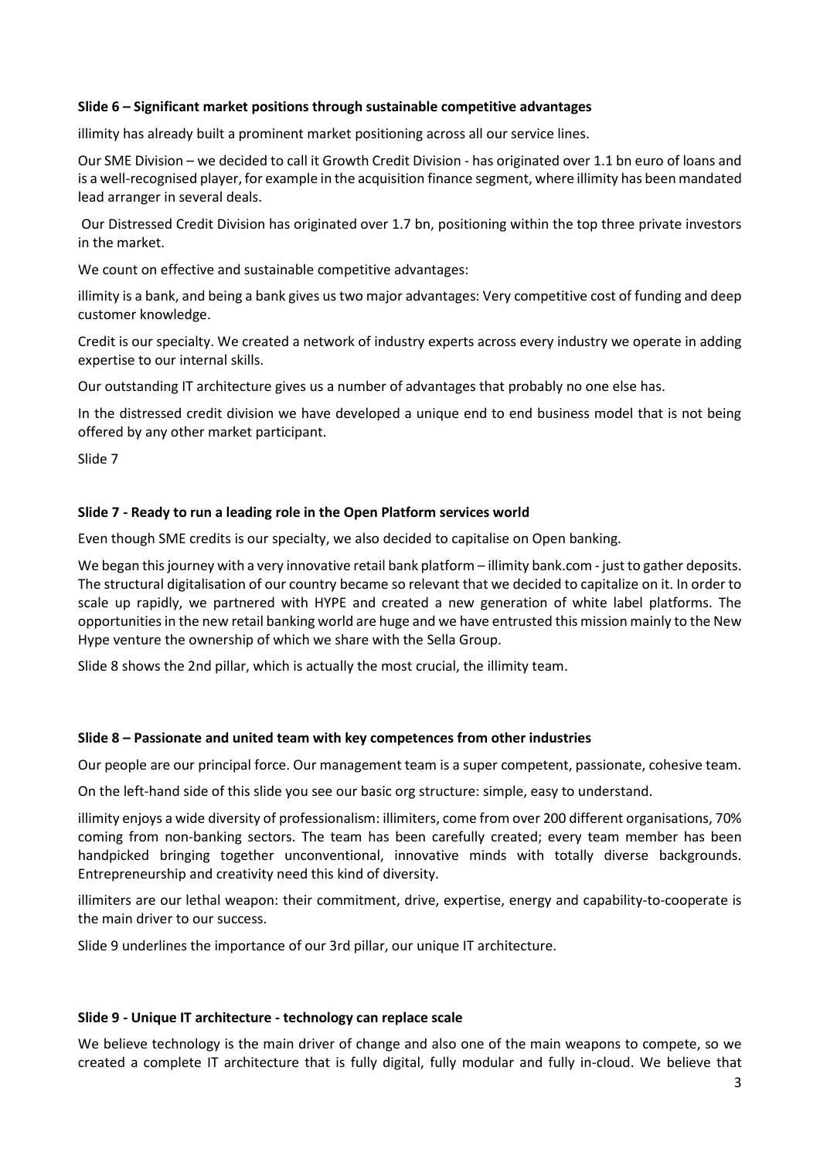### **Slide 6 – Significant market positions through sustainable competitive advantages**

illimity has already built a prominent market positioning across all our service lines.

Our SME Division – we decided to call it Growth Credit Division - has originated over 1.1 bn euro of loans and is a well-recognised player, for example in the acquisition finance segment, where illimity has been mandated lead arranger in several deals.

Our Distressed Credit Division has originated over 1.7 bn, positioning within the top three private investors in the market.

We count on effective and sustainable competitive advantages:

illimity is a bank, and being a bank gives us two major advantages: Very competitive cost of funding and deep customer knowledge.

Credit is our specialty. We created a network of industry experts across every industry we operate in adding expertise to our internal skills.

Our outstanding IT architecture gives us a number of advantages that probably no one else has.

In the distressed credit division we have developed a unique end to end business model that is not being offered by any other market participant.

Slide 7

### **Slide 7 - Ready to run a leading role in the Open Platform services world**

Even though SME credits is our specialty, we also decided to capitalise on Open banking.

We began this journey with a very innovative retail bank platform – illimity bank.com - just to gather deposits. The structural digitalisation of our country became so relevant that we decided to capitalize on it. In order to scale up rapidly, we partnered with HYPE and created a new generation of white label platforms. The opportunities in the new retail banking world are huge and we have entrusted this mission mainly to the New Hype venture the ownership of which we share with the Sella Group.

Slide 8 shows the 2nd pillar, which is actually the most crucial, the illimity team.

#### **Slide 8 – Passionate and united team with key competences from other industries**

Our people are our principal force. Our management team is a super competent, passionate, cohesive team.

On the left-hand side of this slide you see our basic org structure: simple, easy to understand.

illimity enjoys a wide diversity of professionalism: illimiters, come from over 200 different organisations, 70% coming from non-banking sectors. The team has been carefully created; every team member has been handpicked bringing together unconventional, innovative minds with totally diverse backgrounds. Entrepreneurship and creativity need this kind of diversity.

illimiters are our lethal weapon: their commitment, drive, expertise, energy and capability-to-cooperate is the main driver to our success.

Slide 9 underlines the importance of our 3rd pillar, our unique IT architecture.

#### **Slide 9 - Unique IT architecture - technology can replace scale**

We believe technology is the main driver of change and also one of the main weapons to compete, so we created a complete IT architecture that is fully digital, fully modular and fully in-cloud. We believe that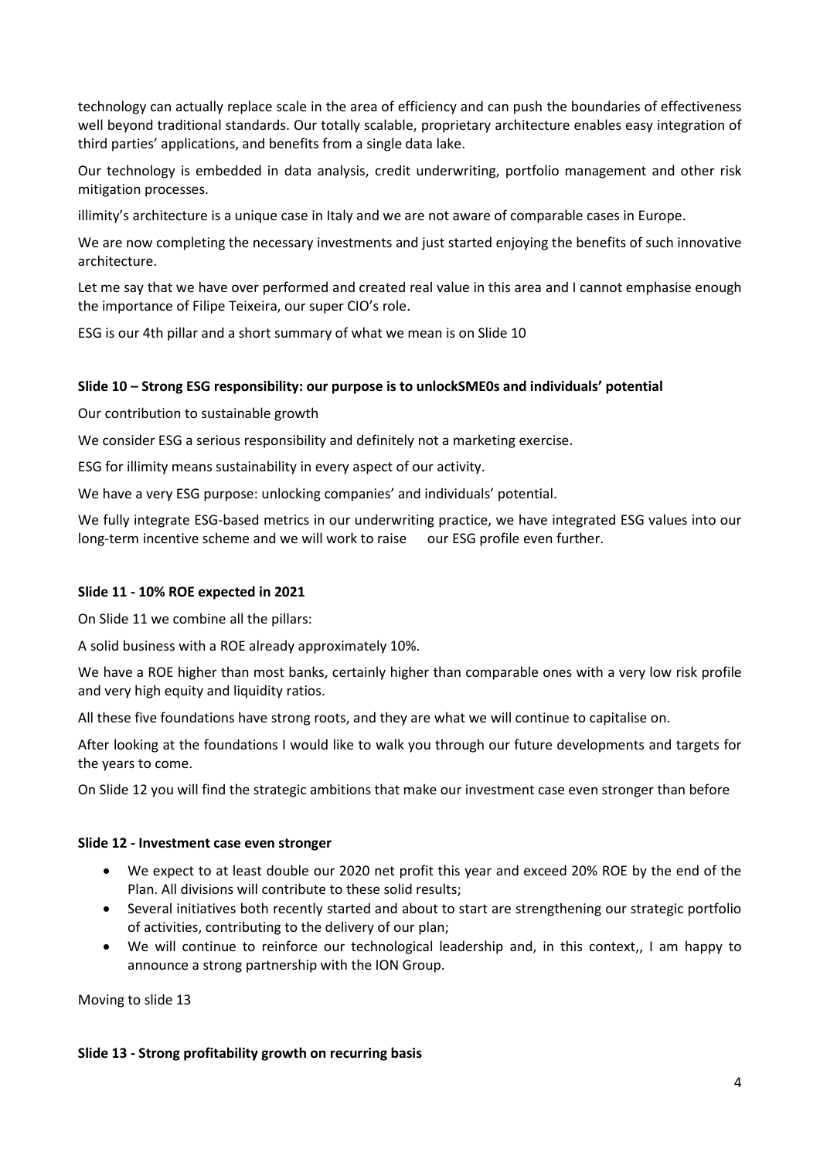technology can actually replace scale in the area of efficiency and can push the boundaries of effectiveness well beyond traditional standards. Our totally scalable, proprietary architecture enables easy integration of third parties' applications, and benefits from a single data lake.

Our technology is embedded in data analysis, credit underwriting, portfolio management and other risk mitigation processes.

illimity's architecture is a unique case in Italy and we are not aware of comparable cases in Europe.

We are now completing the necessary investments and just started enjoying the benefits of such innovative architecture.

Let me say that we have over performed and created real value in this area and I cannot emphasise enough the importance of Filipe Teixeira, our super CIO's role.

ESG is our 4th pillar and a short summary of what we mean is on Slide 10

## **Slide 10 – Strong ESG responsibility: our purpose is to unlockSME0s and individuals' potential**

Our contribution to sustainable growth

We consider ESG a serious responsibility and definitely not a marketing exercise.

ESG for illimity means sustainability in every aspect of our activity.

We have a very ESG purpose: unlocking companies' and individuals' potential.

We fully integrate ESG-based metrics in our underwriting practice, we have integrated ESG values into our long-term incentive scheme and we will work to raise our ESG profile even further.

#### **Slide 11 - 10% ROE expected in 2021**

On Slide 11 we combine all the pillars:

A solid business with a ROE already approximately 10%.

We have a ROE higher than most banks, certainly higher than comparable ones with a very low risk profile and very high equity and liquidity ratios.

All these five foundations have strong roots, and they are what we will continue to capitalise on.

After looking at the foundations I would like to walk you through our future developments and targets for the years to come.

On Slide 12 you will find the strategic ambitions that make our investment case even stronger than before

#### **Slide 12 - Investment case even stronger**

- We expect to at least double our 2020 net profit this year and exceed 20% ROE by the end of the Plan. All divisions will contribute to these solid results;
- Several initiatives both recently started and about to start are strengthening our strategic portfolio of activities, contributing to the delivery of our plan;
- We will continue to reinforce our technological leadership and, in this context,, I am happy to announce a strong partnership with the ION Group.

Moving to slide 13

## **Slide 13 - Strong profitability growth on recurring basis**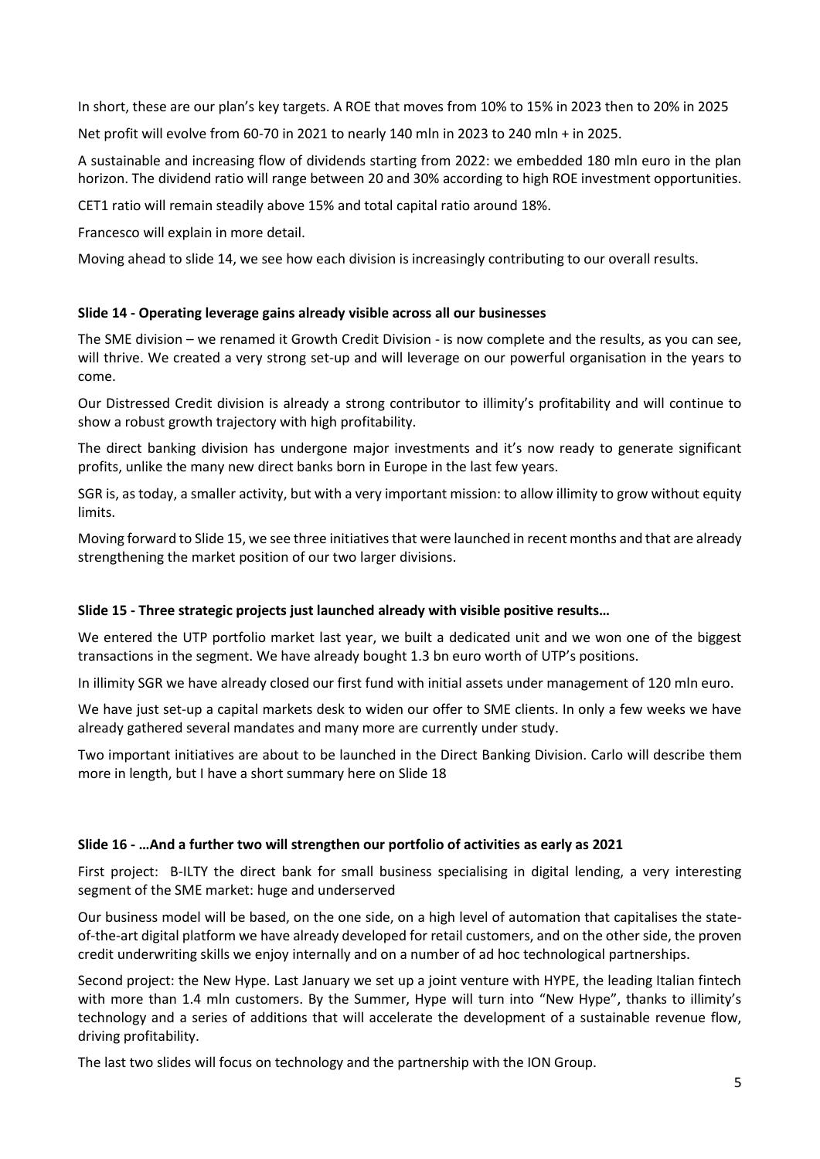In short, these are our plan's key targets. A ROE that moves from 10% to 15% in 2023 then to 20% in 2025

Net profit will evolve from 60-70 in 2021 to nearly 140 mln in 2023 to 240 mln + in 2025.

A sustainable and increasing flow of dividends starting from 2022: we embedded 180 mln euro in the plan horizon. The dividend ratio will range between 20 and 30% according to high ROE investment opportunities.

CET1 ratio will remain steadily above 15% and total capital ratio around 18%.

Francesco will explain in more detail.

Moving ahead to slide 14, we see how each division is increasingly contributing to our overall results.

# **Slide 14 - Operating leverage gains already visible across all our businesses**

The SME division – we renamed it Growth Credit Division - is now complete and the results, as you can see, will thrive. We created a very strong set-up and will leverage on our powerful organisation in the years to come.

Our Distressed Credit division is already a strong contributor to illimity's profitability and will continue to show a robust growth trajectory with high profitability.

The direct banking division has undergone major investments and it's now ready to generate significant profits, unlike the many new direct banks born in Europe in the last few years.

SGR is, as today, a smaller activity, but with a very important mission: to allow illimity to grow without equity limits.

Moving forward to Slide 15, we see three initiatives that were launched in recent months and that are already strengthening the market position of our two larger divisions.

## **Slide 15 - Three strategic projects just launched already with visible positive results…**

We entered the UTP portfolio market last year, we built a dedicated unit and we won one of the biggest transactions in the segment. We have already bought 1.3 bn euro worth of UTP's positions.

In illimity SGR we have already closed our first fund with initial assets under management of 120 mln euro.

We have just set-up a capital markets desk to widen our offer to SME clients. In only a few weeks we have already gathered several mandates and many more are currently under study.

Two important initiatives are about to be launched in the Direct Banking Division. Carlo will describe them more in length, but I have a short summary here on Slide 18

## **Slide 16 - …And a further two will strengthen our portfolio of activities as early as 2021**

First project: B-ILTY the direct bank for small business specialising in digital lending, a very interesting segment of the SME market: huge and underserved

Our business model will be based, on the one side, on a high level of automation that capitalises the stateof-the-art digital platform we have already developed for retail customers, and on the other side, the proven credit underwriting skills we enjoy internally and on a number of ad hoc technological partnerships.

Second project: the New Hype. Last January we set up a joint venture with HYPE, the leading Italian fintech with more than 1.4 mln customers. By the Summer, Hype will turn into "New Hype", thanks to illimity's technology and a series of additions that will accelerate the development of a sustainable revenue flow, driving profitability.

The last two slides will focus on technology and the partnership with the ION Group.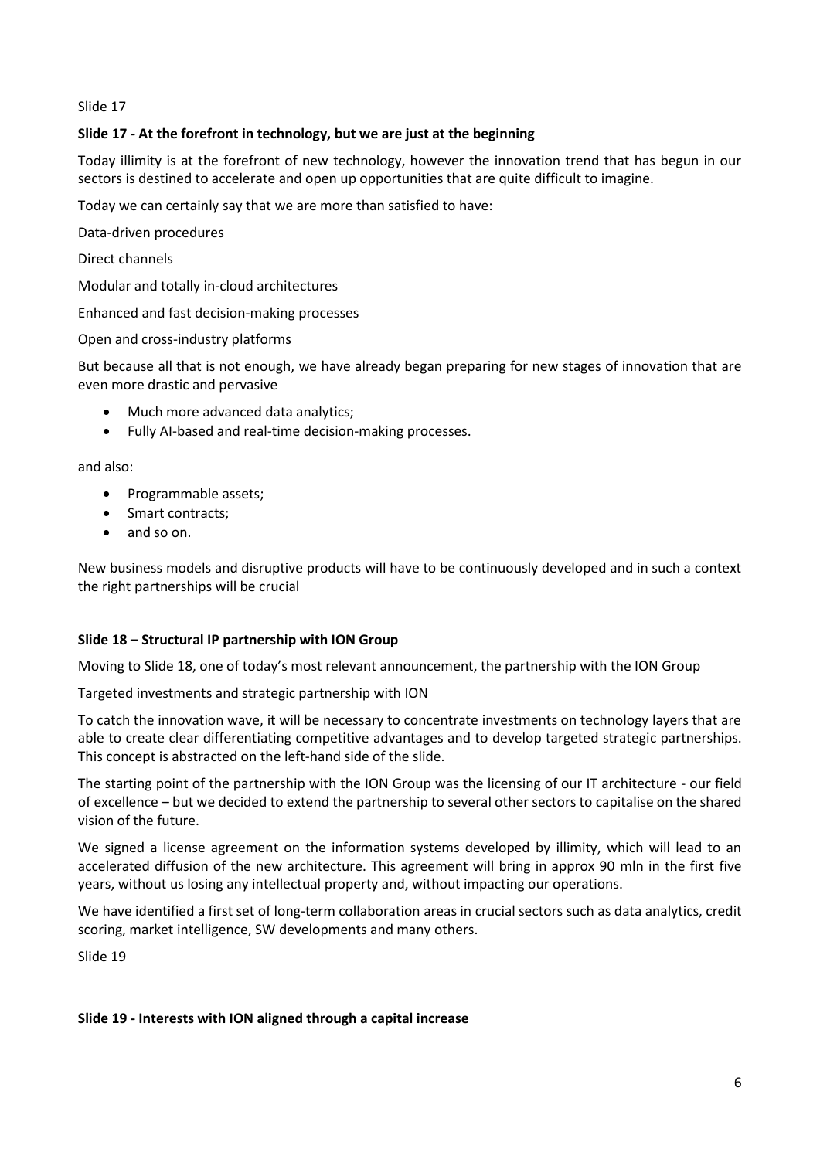Slide 17

# **Slide 17 - At the forefront in technology, but we are just at the beginning**

Today illimity is at the forefront of new technology, however the innovation trend that has begun in our sectors is destined to accelerate and open up opportunities that are quite difficult to imagine.

Today we can certainly say that we are more than satisfied to have:

Data-driven procedures

Direct channels

Modular and totally in-cloud architectures

Enhanced and fast decision-making processes

Open and cross-industry platforms

But because all that is not enough, we have already began preparing for new stages of innovation that are even more drastic and pervasive

- Much more advanced data analytics;
- Fully AI-based and real-time decision-making processes.

and also:

- Programmable assets;
- Smart contracts;
- and so on.

New business models and disruptive products will have to be continuously developed and in such a context the right partnerships will be crucial

## **Slide 18 – Structural IP partnership with ION Group**

Moving to Slide 18, one of today's most relevant announcement, the partnership with the ION Group

Targeted investments and strategic partnership with ION

To catch the innovation wave, it will be necessary to concentrate investments on technology layers that are able to create clear differentiating competitive advantages and to develop targeted strategic partnerships. This concept is abstracted on the left-hand side of the slide.

The starting point of the partnership with the ION Group was the licensing of our IT architecture - our field of excellence – but we decided to extend the partnership to several other sectors to capitalise on the shared vision of the future.

We signed a license agreement on the information systems developed by illimity, which will lead to an accelerated diffusion of the new architecture. This agreement will bring in approx 90 mln in the first five years, without us losing any intellectual property and, without impacting our operations.

We have identified a first set of long-term collaboration areas in crucial sectors such as data analytics, credit scoring, market intelligence, SW developments and many others.

Slide 19

#### **Slide 19 - Interests with ION aligned through a capital increase**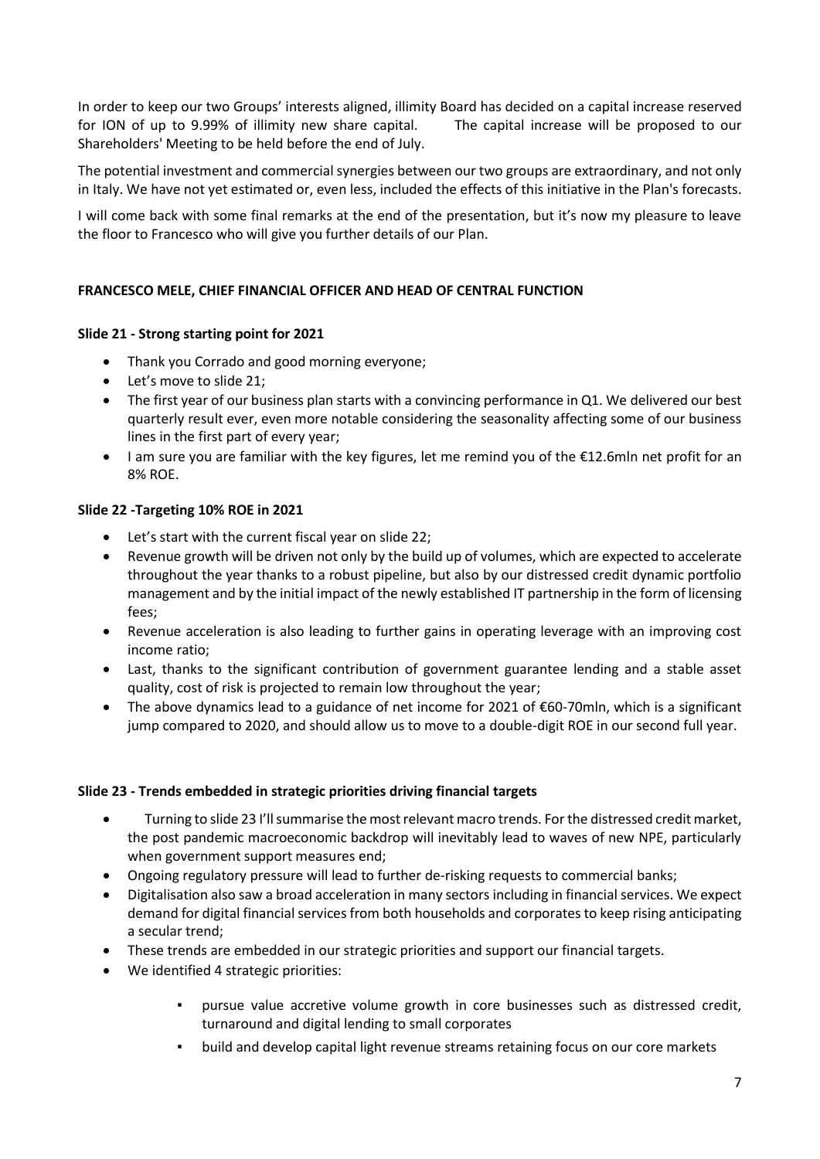In order to keep our two Groups' interests aligned, illimity Board has decided on a capital increase reserved for ION of up to 9.99% of illimity new share capital. The capital increase will be proposed to our Shareholders' Meeting to be held before the end of July.

The potential investment and commercial synergies between our two groups are extraordinary, and not only in Italy. We have not yet estimated or, even less, included the effects of this initiative in the Plan's forecasts.

I will come back with some final remarks at the end of the presentation, but it's now my pleasure to leave the floor to Francesco who will give you further details of our Plan.

# **FRANCESCO MELE, CHIEF FINANCIAL OFFICER AND HEAD OF CENTRAL FUNCTION**

## **Slide 21 - Strong starting point for 2021**

- Thank you Corrado and good morning everyone;
- Let's move to slide 21;
- The first year of our business plan starts with a convincing performance in Q1. We delivered our best quarterly result ever, even more notable considering the seasonality affecting some of our business lines in the first part of every year;
- I am sure you are familiar with the key figures, let me remind you of the €12.6mln net profit for an 8% ROE.

### **Slide 22 -Targeting 10% ROE in 2021**

- Let's start with the current fiscal year on slide 22;
- Revenue growth will be driven not only by the build up of volumes, which are expected to accelerate throughout the year thanks to a robust pipeline, but also by our distressed credit dynamic portfolio management and by the initial impact of the newly established IT partnership in the form of licensing fees;
- Revenue acceleration is also leading to further gains in operating leverage with an improving cost income ratio;
- Last, thanks to the significant contribution of government guarantee lending and a stable asset quality, cost of risk is projected to remain low throughout the year;
- The above dynamics lead to a guidance of net income for 2021 of €60-70mln, which is a significant jump compared to 2020, and should allow us to move to a double-digit ROE in our second full year.

## **Slide 23 - Trends embedded in strategic priorities driving financial targets**

- Turning to slide 23 I'll summarise the most relevant macro trends. For the distressed credit market, the post pandemic macroeconomic backdrop will inevitably lead to waves of new NPE, particularly when government support measures end;
- Ongoing regulatory pressure will lead to further de-risking requests to commercial banks;
- Digitalisation also saw a broad acceleration in many sectors including in financial services. We expect demand for digital financial services from both households and corporates to keep rising anticipating a secular trend;
- These trends are embedded in our strategic priorities and support our financial targets.
- We identified 4 strategic priorities:
	- pursue value accretive volume growth in core businesses such as distressed credit, turnaround and digital lending to small corporates
	- build and develop capital light revenue streams retaining focus on our core markets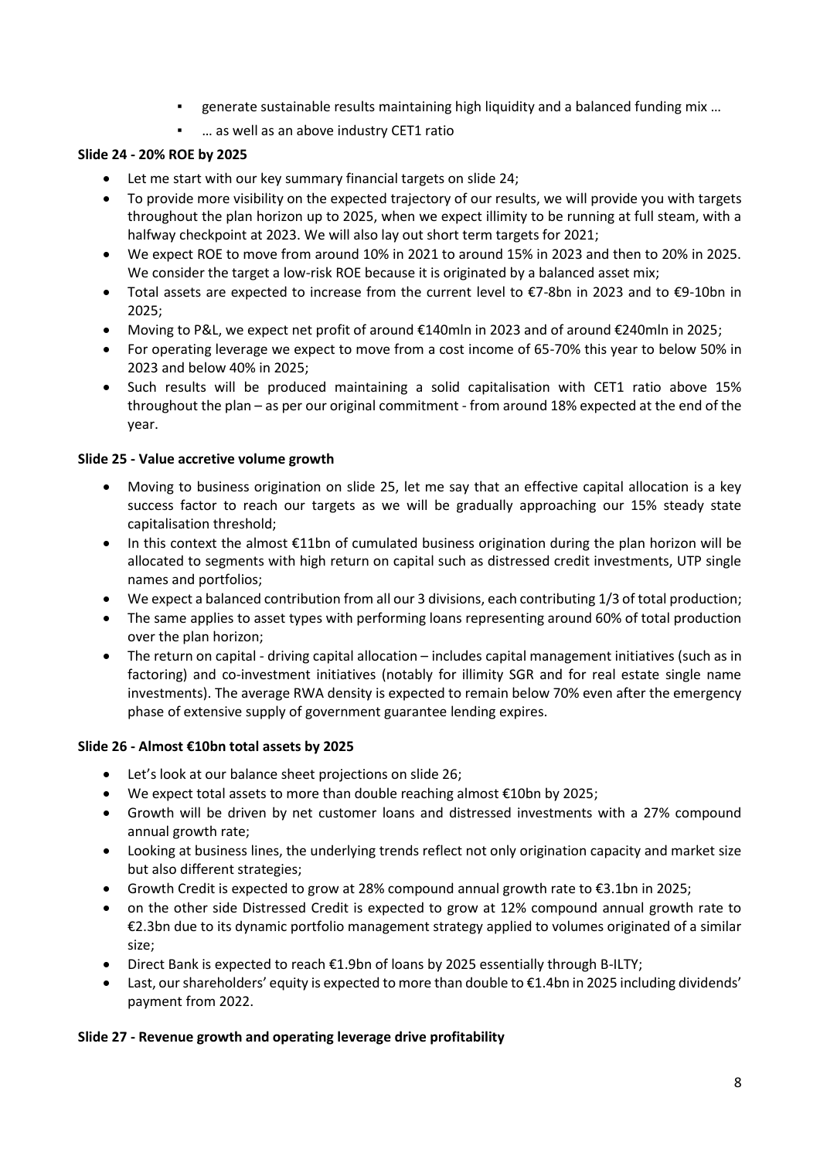- generate sustainable results maintaining high liquidity and a balanced funding mix ...
- ... as well as an above industry CET1 ratio

# **Slide 24 - 20% ROE by 2025**

- Let me start with our key summary financial targets on slide 24;
- To provide more visibility on the expected trajectory of our results, we will provide you with targets throughout the plan horizon up to 2025, when we expect illimity to be running at full steam, with a halfway checkpoint at 2023. We will also lay out short term targets for 2021;
- We expect ROE to move from around 10% in 2021 to around 15% in 2023 and then to 20% in 2025. We consider the target a low-risk ROE because it is originated by a balanced asset mix;
- Total assets are expected to increase from the current level to €7-8bn in 2023 and to €9-10bn in 2025;
- Moving to P&L, we expect net profit of around €140mln in 2023 and of around €240mln in 2025;
- For operating leverage we expect to move from a cost income of 65-70% this year to below 50% in 2023 and below 40% in 2025;
- Such results will be produced maintaining a solid capitalisation with CET1 ratio above 15% throughout the plan – as per our original commitment - from around 18% expected at the end of the year.

# **Slide 25 - Value accretive volume growth**

- Moving to business origination on slide 25, let me say that an effective capital allocation is a key success factor to reach our targets as we will be gradually approaching our 15% steady state capitalisation threshold;
- In this context the almost €11bn of cumulated business origination during the plan horizon will be allocated to segments with high return on capital such as distressed credit investments, UTP single names and portfolios;
- We expect a balanced contribution from all our 3 divisions, each contributing 1/3 of total production;
- The same applies to asset types with performing loans representing around 60% of total production over the plan horizon;
- The return on capital driving capital allocation includes capital management initiatives (such as in factoring) and co-investment initiatives (notably for illimity SGR and for real estate single name investments). The average RWA density is expected to remain below 70% even after the emergency phase of extensive supply of government guarantee lending expires.

## **Slide 26 - Almost €10bn total assets by 2025**

- Let's look at our balance sheet projections on slide 26;
- We expect total assets to more than double reaching almost €10bn by 2025;
- Growth will be driven by net customer loans and distressed investments with a 27% compound annual growth rate;
- Looking at business lines, the underlying trends reflect not only origination capacity and market size but also different strategies;
- Growth Credit is expected to grow at 28% compound annual growth rate to €3.1bn in 2025;
- on the other side Distressed Credit is expected to grow at 12% compound annual growth rate to €2.3bn due to its dynamic portfolio management strategy applied to volumes originated of a similar size;
- Direct Bank is expected to reach  $\epsilon$ 1.9bn of loans by 2025 essentially through B-ILTY;
- Last, our shareholders' equity is expected to more than double to €1.4bn in 2025 including dividends' payment from 2022.

## **Slide 27 - Revenue growth and operating leverage drive profitability**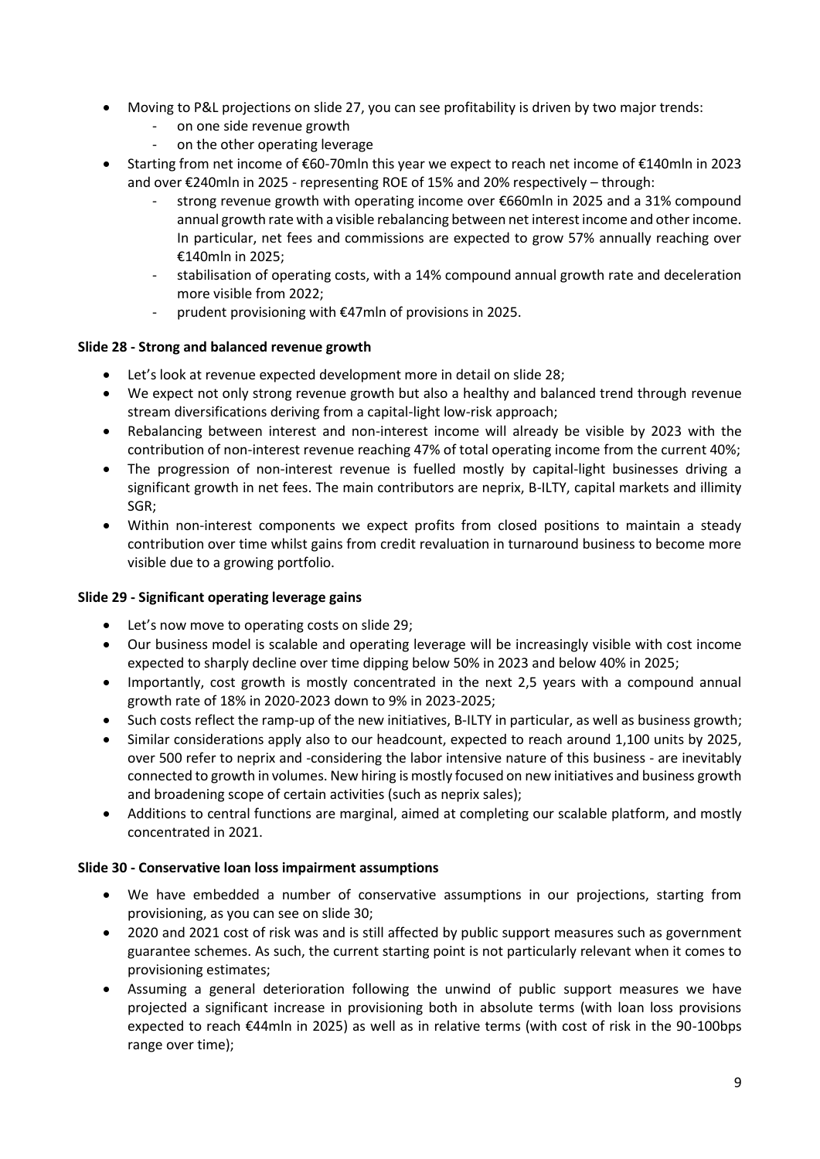- Moving to P&L projections on slide 27, you can see profitability is driven by two major trends:
	- on one side revenue growth
	- on the other operating leverage
- Starting from net income of €60-70mln this year we expect to reach net income of €140mln in 2023 and over €240mln in 2025 - representing ROE of 15% and 20% respectively – through:
	- strong revenue growth with operating income over €660mln in 2025 and a 31% compound annual growth rate with a visible rebalancing between net interest income and other income. In particular, net fees and commissions are expected to grow 57% annually reaching over €140mln in 2025;
	- stabilisation of operating costs, with a 14% compound annual growth rate and deceleration more visible from 2022;
	- prudent provisioning with €47mln of provisions in 2025.

## **Slide 28 - Strong and balanced revenue growth**

- Let's look at revenue expected development more in detail on slide 28;
- We expect not only strong revenue growth but also a healthy and balanced trend through revenue stream diversifications deriving from a capital-light low-risk approach;
- Rebalancing between interest and non-interest income will already be visible by 2023 with the contribution of non-interest revenue reaching 47% of total operating income from the current 40%;
- The progression of non-interest revenue is fuelled mostly by capital-light businesses driving a significant growth in net fees. The main contributors are neprix, B-ILTY, capital markets and illimity SGR;
- Within non-interest components we expect profits from closed positions to maintain a steady contribution over time whilst gains from credit revaluation in turnaround business to become more visible due to a growing portfolio.

## **Slide 29 - Significant operating leverage gains**

- Let's now move to operating costs on slide 29;
- Our business model is scalable and operating leverage will be increasingly visible with cost income expected to sharply decline over time dipping below 50% in 2023 and below 40% in 2025;
- Importantly, cost growth is mostly concentrated in the next 2,5 years with a compound annual growth rate of 18% in 2020-2023 down to 9% in 2023-2025;
- Such costs reflect the ramp-up of the new initiatives, B-ILTY in particular, as well as business growth;
- Similar considerations apply also to our headcount, expected to reach around 1,100 units by 2025, over 500 refer to neprix and -considering the labor intensive nature of this business - are inevitably connected to growth in volumes. New hiring is mostly focused on new initiatives and business growth and broadening scope of certain activities (such as neprix sales);
- Additions to central functions are marginal, aimed at completing our scalable platform, and mostly concentrated in 2021.

## **Slide 30 - Conservative loan loss impairment assumptions**

- We have embedded a number of conservative assumptions in our projections, starting from provisioning, as you can see on slide 30;
- 2020 and 2021 cost of risk was and is still affected by public support measures such as government guarantee schemes. As such, the current starting point is not particularly relevant when it comes to provisioning estimates;
- Assuming a general deterioration following the unwind of public support measures we have projected a significant increase in provisioning both in absolute terms (with loan loss provisions expected to reach €44mln in 2025) as well as in relative terms (with cost of risk in the 90-100bps range over time);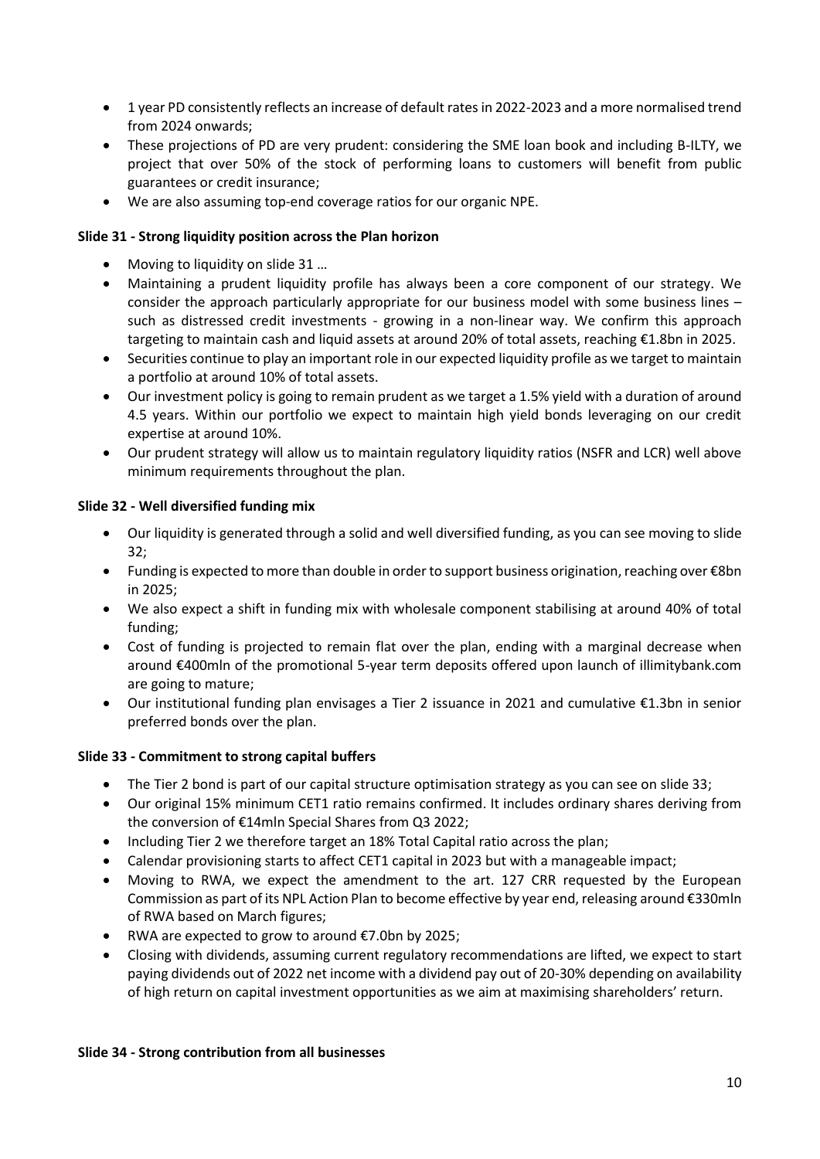- 1 year PD consistently reflects an increase of default rates in 2022-2023 and a more normalised trend from 2024 onwards;
- These projections of PD are very prudent: considering the SME loan book and including B-ILTY, we project that over 50% of the stock of performing loans to customers will benefit from public guarantees or credit insurance;
- We are also assuming top-end coverage ratios for our organic NPE.

# **Slide 31 - Strong liquidity position across the Plan horizon**

- Moving to liquidity on slide 31 ...
- Maintaining a prudent liquidity profile has always been a core component of our strategy. We consider the approach particularly appropriate for our business model with some business lines – such as distressed credit investments - growing in a non-linear way. We confirm this approach targeting to maintain cash and liquid assets at around 20% of total assets, reaching €1.8bn in 2025.
- Securities continue to play an important role in our expected liquidity profile as we target to maintain a portfolio at around 10% of total assets.
- Our investment policy is going to remain prudent as we target a 1.5% yield with a duration of around 4.5 years. Within our portfolio we expect to maintain high yield bonds leveraging on our credit expertise at around 10%.
- Our prudent strategy will allow us to maintain regulatory liquidity ratios (NSFR and LCR) well above minimum requirements throughout the plan.

## **Slide 32 - Well diversified funding mix**

- Our liquidity is generated through a solid and well diversified funding, as you can see moving to slide 32;
- Funding is expected to more than double in order to support business origination, reaching over €8bn in 2025;
- We also expect a shift in funding mix with wholesale component stabilising at around 40% of total funding;
- Cost of funding is projected to remain flat over the plan, ending with a marginal decrease when around €400mln of the promotional 5-year term deposits offered upon launch of illimitybank.com are going to mature;
- Our institutional funding plan envisages a Tier 2 issuance in 2021 and cumulative €1.3bn in senior preferred bonds over the plan.

## **Slide 33 - Commitment to strong capital buffers**

- The Tier 2 bond is part of our capital structure optimisation strategy as you can see on slide 33;
- Our original 15% minimum CET1 ratio remains confirmed. It includes ordinary shares deriving from the conversion of €14mln Special Shares from Q3 2022;
- Including Tier 2 we therefore target an 18% Total Capital ratio across the plan;
- Calendar provisioning starts to affect CET1 capital in 2023 but with a manageable impact;
- Moving to RWA, we expect the amendment to the art. 127 CRR requested by the European Commission as part of its NPL Action Plan to become effective by year end, releasing around €330mln of RWA based on March figures;
- RWA are expected to grow to around €7.0bn by 2025;
- Closing with dividends, assuming current regulatory recommendations are lifted, we expect to start paying dividends out of 2022 net income with a dividend pay out of 20-30% depending on availability of high return on capital investment opportunities as we aim at maximising shareholders' return.

#### **Slide 34 - Strong contribution from all businesses**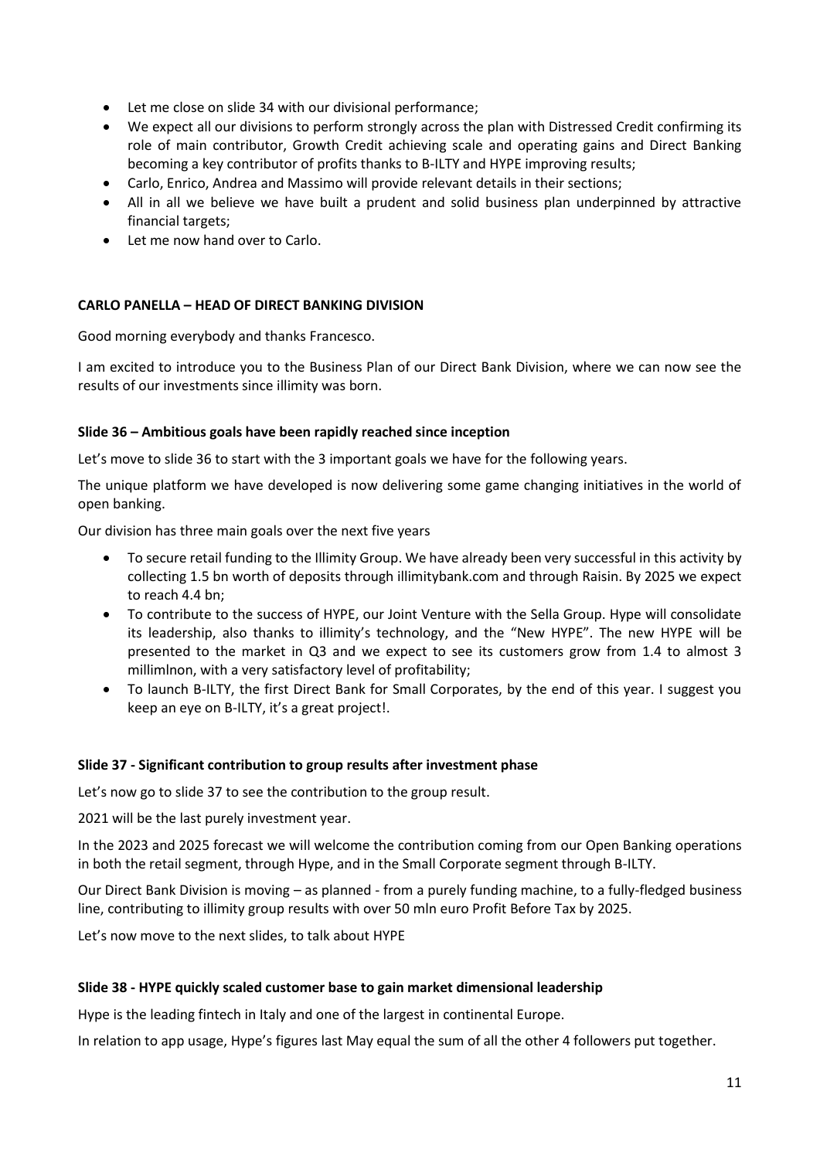- Let me close on slide 34 with our divisional performance;
- We expect all our divisions to perform strongly across the plan with Distressed Credit confirming its role of main contributor, Growth Credit achieving scale and operating gains and Direct Banking becoming a key contributor of profits thanks to B-ILTY and HYPE improving results;
- Carlo, Enrico, Andrea and Massimo will provide relevant details in their sections;
- All in all we believe we have built a prudent and solid business plan underpinned by attractive financial targets;
- Let me now hand over to Carlo.

## **CARLO PANELLA – HEAD OF DIRECT BANKING DIVISION**

Good morning everybody and thanks Francesco.

I am excited to introduce you to the Business Plan of our Direct Bank Division, where we can now see the results of our investments since illimity was born.

### **Slide 36 – Ambitious goals have been rapidly reached since inception**

Let's move to slide 36 to start with the 3 important goals we have for the following years.

The unique platform we have developed is now delivering some game changing initiatives in the world of open banking.

Our division has three main goals over the next five years

- To secure retail funding to the Illimity Group. We have already been very successful in this activity by collecting 1.5 bn worth of deposits through illimitybank.com and through Raisin. By 2025 we expect to reach 4.4 bn;
- To contribute to the success of HYPE, our Joint Venture with the Sella Group. Hype will consolidate its leadership, also thanks to illimity's technology, and the "New HYPE". The new HYPE will be presented to the market in Q3 and we expect to see its customers grow from 1.4 to almost 3 millimlnon, with a very satisfactory level of profitability;
- To launch B-ILTY, the first Direct Bank for Small Corporates, by the end of this year. I suggest you keep an eye on B-ILTY, it's a great project!.

#### **Slide 37 - Significant contribution to group results after investment phase**

Let's now go to slide 37 to see the contribution to the group result.

2021 will be the last purely investment year.

In the 2023 and 2025 forecast we will welcome the contribution coming from our Open Banking operations in both the retail segment, through Hype, and in the Small Corporate segment through B-ILTY.

Our Direct Bank Division is moving – as planned - from a purely funding machine, to a fully-fledged business line, contributing to illimity group results with over 50 mln euro Profit Before Tax by 2025.

Let's now move to the next slides, to talk about HYPE

#### **Slide 38 - HYPE quickly scaled customer base to gain market dimensional leadership**

Hype is the leading fintech in Italy and one of the largest in continental Europe.

In relation to app usage, Hype's figures last May equal the sum of all the other 4 followers put together.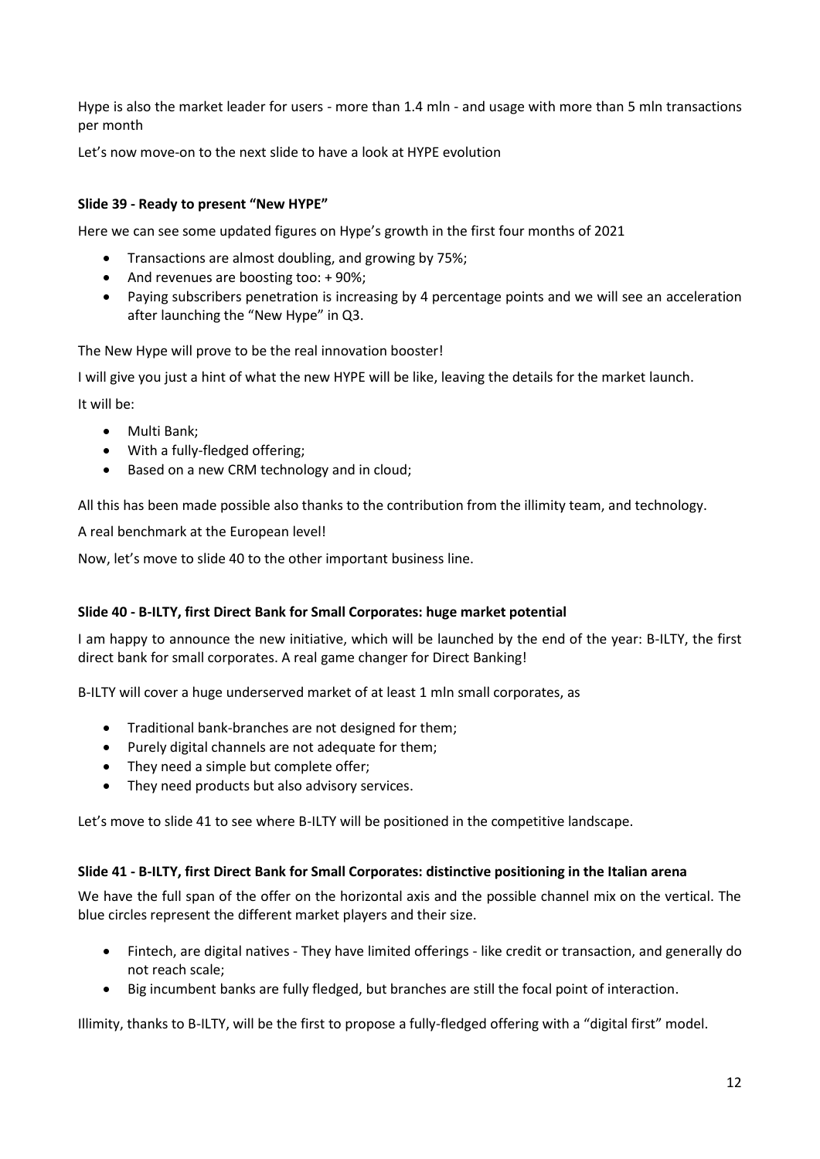Hype is also the market leader for users - more than 1.4 mln - and usage with more than 5 mln transactions per month

Let's now move-on to the next slide to have a look at HYPE evolution

### **Slide 39 - Ready to present "New HYPE"**

Here we can see some updated figures on Hype's growth in the first four months of 2021

- Transactions are almost doubling, and growing by 75%;
- And revenues are boosting too: + 90%;
- Paying subscribers penetration is increasing by 4 percentage points and we will see an acceleration after launching the "New Hype" in Q3.

The New Hype will prove to be the real innovation booster!

I will give you just a hint of what the new HYPE will be like, leaving the details for the market launch.

It will be:

- Multi Bank;
- With a fully-fledged offering;
- Based on a new CRM technology and in cloud;

All this has been made possible also thanks to the contribution from the illimity team, and technology.

A real benchmark at the European level!

Now, let's move to slide 40 to the other important business line.

#### **Slide 40 - B-ILTY, first Direct Bank for Small Corporates: huge market potential**

I am happy to announce the new initiative, which will be launched by the end of the year: B-ILTY, the first direct bank for small corporates. A real game changer for Direct Banking!

B-ILTY will cover a huge underserved market of at least 1 mln small corporates, as

- Traditional bank-branches are not designed for them;
- Purely digital channels are not adequate for them;
- They need a simple but complete offer;
- They need products but also advisory services.

Let's move to slide 41 to see where B-ILTY will be positioned in the competitive landscape.

#### **Slide 41 - B-ILTY, first Direct Bank for Small Corporates: distinctive positioning in the Italian arena**

We have the full span of the offer on the horizontal axis and the possible channel mix on the vertical. The blue circles represent the different market players and their size.

- Fintech, are digital natives They have limited offerings like credit or transaction, and generally do not reach scale;
- Big incumbent banks are fully fledged, but branches are still the focal point of interaction.

Illimity, thanks to B-ILTY, will be the first to propose a fully-fledged offering with a "digital first" model.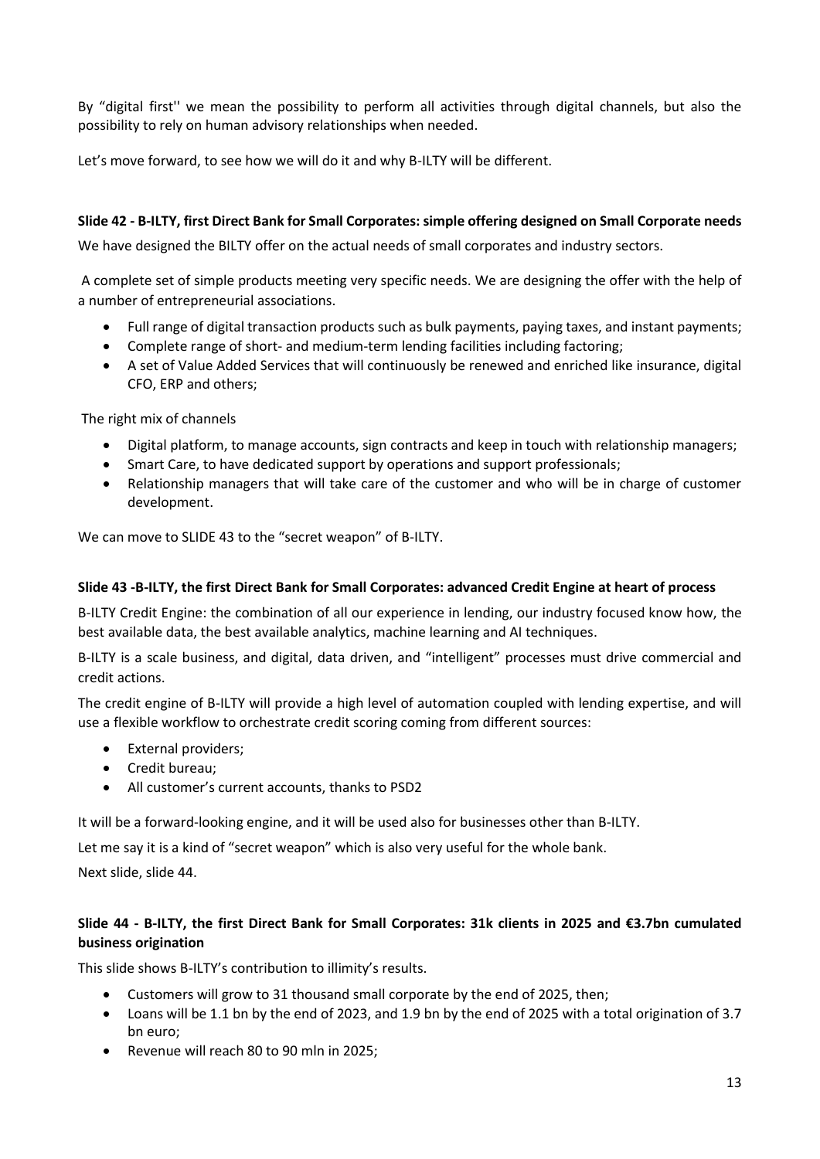By "digital first'' we mean the possibility to perform all activities through digital channels, but also the possibility to rely on human advisory relationships when needed.

Let's move forward, to see how we will do it and why B-ILTY will be different.

### **Slide 42 - B-ILTY, first Direct Bank for Small Corporates: simple offering designed on Small Corporate needs**

We have designed the BILTY offer on the actual needs of small corporates and industry sectors.

A complete set of simple products meeting very specific needs. We are designing the offer with the help of a number of entrepreneurial associations.

- Full range of digital transaction products such as bulk payments, paying taxes, and instant payments;
- Complete range of short- and medium-term lending facilities including factoring;
- A set of Value Added Services that will continuously be renewed and enriched like insurance, digital CFO, ERP and others;

The right mix of channels

- Digital platform, to manage accounts, sign contracts and keep in touch with relationship managers;
- Smart Care, to have dedicated support by operations and support professionals;
- Relationship managers that will take care of the customer and who will be in charge of customer development.

We can move to SLIDE 43 to the "secret weapon" of B-ILTY.

### **Slide 43 -B-ILTY, the first Direct Bank for Small Corporates: advanced Credit Engine at heart of process**

B-ILTY Credit Engine: the combination of all our experience in lending, our industry focused know how, the best available data, the best available analytics, machine learning and AI techniques.

B-ILTY is a scale business, and digital, data driven, and "intelligent" processes must drive commercial and credit actions.

The credit engine of B-ILTY will provide a high level of automation coupled with lending expertise, and will use a flexible workflow to orchestrate credit scoring coming from different sources:

- External providers;
- Credit bureau;
- All customer's current accounts, thanks to PSD2

It will be a forward-looking engine, and it will be used also for businesses other than B-ILTY.

Let me say it is a kind of "secret weapon" which is also very useful for the whole bank.

Next slide, slide 44.

# **Slide 44 - B-ILTY, the first Direct Bank for Small Corporates: 31k clients in 2025 and €3.7bn cumulated business origination**

This slide shows B-ILTY's contribution to illimity's results.

- Customers will grow to 31 thousand small corporate by the end of 2025, then;
- Loans will be 1.1 bn by the end of 2023, and 1.9 bn by the end of 2025 with a total origination of 3.7 bn euro;
- Revenue will reach 80 to 90 mln in 2025;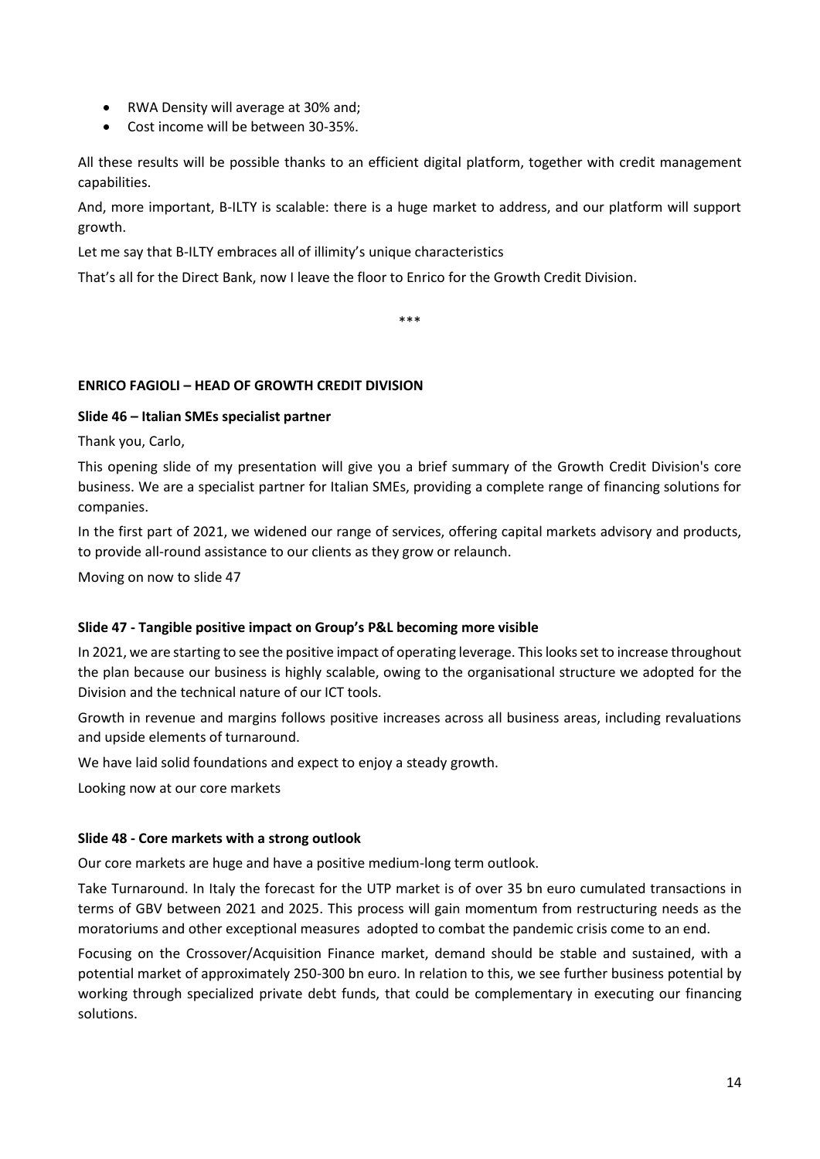- RWA Density will average at 30% and;
- Cost income will be between 30-35%.

All these results will be possible thanks to an efficient digital platform, together with credit management capabilities.

And, more important, B-ILTY is scalable: there is a huge market to address, and our platform will support growth.

Let me say that B-ILTY embraces all of illimity's unique characteristics

That's all for the Direct Bank, now I leave the floor to Enrico for the Growth Credit Division.

\*\*\*

## **ENRICO FAGIOLI – HEAD OF GROWTH CREDIT DIVISION**

## **Slide 46 – Italian SMEs specialist partner**

Thank you, Carlo,

This opening slide of my presentation will give you a brief summary of the Growth Credit Division's core business. We are a specialist partner for Italian SMEs, providing a complete range of financing solutions for companies.

In the first part of 2021, we widened our range of services, offering capital markets advisory and products, to provide all-round assistance to our clients as they grow or relaunch.

Moving on now to slide 47

## **Slide 47 - Tangible positive impact on Group's P&L becoming more visible**

In 2021, we are starting to see the positive impact of operating leverage. This looks set to increase throughout the plan because our business is highly scalable, owing to the organisational structure we adopted for the Division and the technical nature of our ICT tools.

Growth in revenue and margins follows positive increases across all business areas, including revaluations and upside elements of turnaround.

We have laid solid foundations and expect to enjoy a steady growth.

Looking now at our core markets

#### **Slide 48 - Core markets with a strong outlook**

Our core markets are huge and have a positive medium-long term outlook.

Take Turnaround. In Italy the forecast for the UTP market is of over 35 bn euro cumulated transactions in terms of GBV between 2021 and 2025. This process will gain momentum from restructuring needs as the moratoriums and other exceptional measures adopted to combat the pandemic crisis come to an end.

Focusing on the Crossover/Acquisition Finance market, demand should be stable and sustained, with a potential market of approximately 250-300 bn euro. In relation to this, we see further business potential by working through specialized private debt funds, that could be complementary in executing our financing solutions.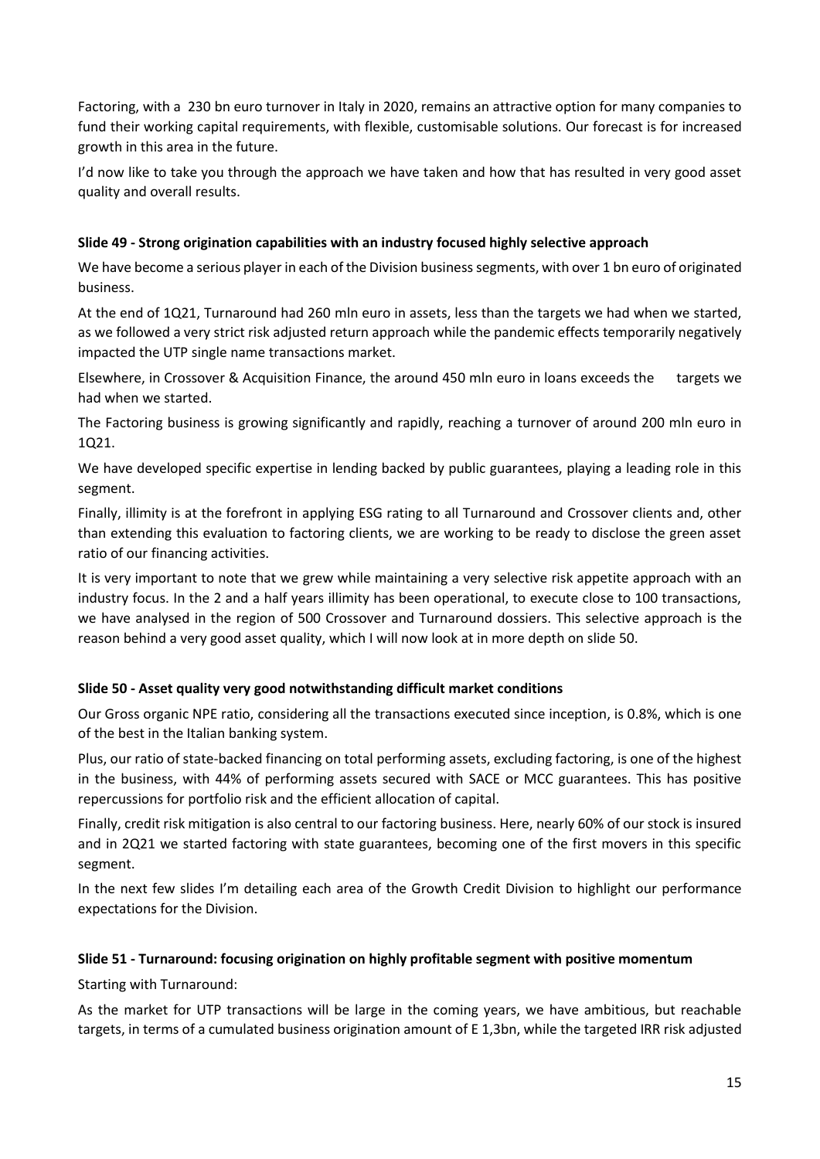Factoring, with a 230 bn euro turnover in Italy in 2020, remains an attractive option for many companies to fund their working capital requirements, with flexible, customisable solutions. Our forecast is for increased growth in this area in the future.

I'd now like to take you through the approach we have taken and how that has resulted in very good asset quality and overall results.

# **Slide 49 - Strong origination capabilities with an industry focused highly selective approach**

We have become a serious player in each of the Division business segments, with over 1 bn euro of originated business.

At the end of 1Q21, Turnaround had 260 mln euro in assets, less than the targets we had when we started, as we followed a very strict risk adjusted return approach while the pandemic effects temporarily negatively impacted the UTP single name transactions market.

Elsewhere, in Crossover & Acquisition Finance, the around 450 mln euro in loans exceeds the targets we had when we started.

The Factoring business is growing significantly and rapidly, reaching a turnover of around 200 mln euro in 1Q21.

We have developed specific expertise in lending backed by public guarantees, playing a leading role in this segment.

Finally, illimity is at the forefront in applying ESG rating to all Turnaround and Crossover clients and, other than extending this evaluation to factoring clients, we are working to be ready to disclose the green asset ratio of our financing activities.

It is very important to note that we grew while maintaining a very selective risk appetite approach with an industry focus. In the 2 and a half years illimity has been operational, to execute close to 100 transactions, we have analysed in the region of 500 Crossover and Turnaround dossiers. This selective approach is the reason behind a very good asset quality, which I will now look at in more depth on slide 50.

# **Slide 50 - Asset quality very good notwithstanding difficult market conditions**

Our Gross organic NPE ratio, considering all the transactions executed since inception, is 0.8%, which is one of the best in the Italian banking system.

Plus, our ratio of state-backed financing on total performing assets, excluding factoring, is one of the highest in the business, with 44% of performing assets secured with SACE or MCC guarantees. This has positive repercussions for portfolio risk and the efficient allocation of capital.

Finally, credit risk mitigation is also central to our factoring business. Here, nearly 60% of our stock is insured and in 2Q21 we started factoring with state guarantees, becoming one of the first movers in this specific segment.

In the next few slides I'm detailing each area of the Growth Credit Division to highlight our performance expectations for the Division.

## **Slide 51 - Turnaround: focusing origination on highly profitable segment with positive momentum**

Starting with Turnaround:

As the market for UTP transactions will be large in the coming years, we have ambitious, but reachable targets, in terms of a cumulated business origination amount of E 1,3bn, while the targeted IRR risk adjusted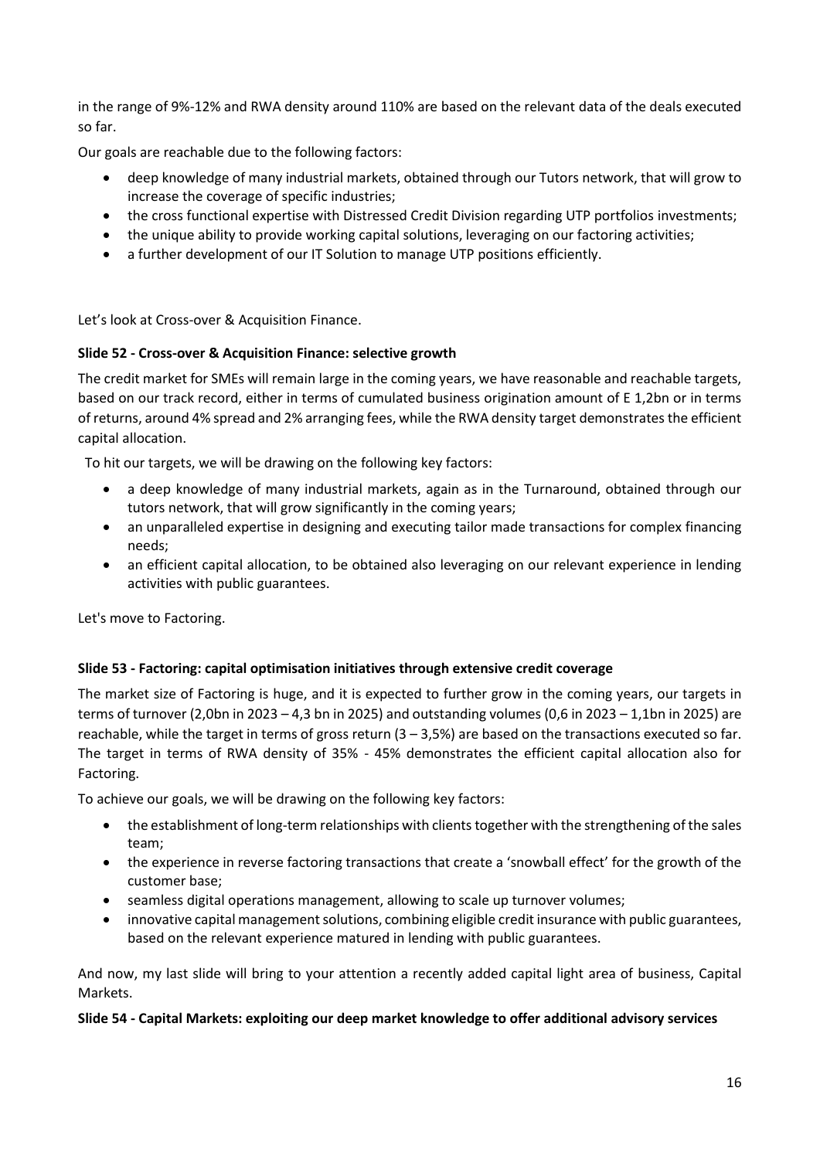in the range of 9%-12% and RWA density around 110% are based on the relevant data of the deals executed so far.

Our goals are reachable due to the following factors:

- deep knowledge of many industrial markets, obtained through our Tutors network, that will grow to increase the coverage of specific industries;
- the cross functional expertise with Distressed Credit Division regarding UTP portfolios investments;
- the unique ability to provide working capital solutions, leveraging on our factoring activities;
- a further development of our IT Solution to manage UTP positions efficiently.

Let's look at Cross-over & Acquisition Finance.

## **Slide 52 - Cross-over & Acquisition Finance: selective growth**

The credit market for SMEs will remain large in the coming years, we have reasonable and reachable targets, based on our track record, either in terms of cumulated business origination amount of E 1,2bn or in terms of returns, around 4% spread and 2% arranging fees, while the RWA density target demonstrates the efficient capital allocation.

To hit our targets, we will be drawing on the following key factors:

- a deep knowledge of many industrial markets, again as in the Turnaround, obtained through our tutors network, that will grow significantly in the coming years;
- an unparalleled expertise in designing and executing tailor made transactions for complex financing needs;
- an efficient capital allocation, to be obtained also leveraging on our relevant experience in lending activities with public guarantees.

Let's move to Factoring.

## **Slide 53 - Factoring: capital optimisation initiatives through extensive credit coverage**

The market size of Factoring is huge, and it is expected to further grow in the coming years, our targets in terms of turnover (2,0bn in 2023 – 4,3 bn in 2025) and outstanding volumes (0,6 in 2023 – 1,1bn in 2025) are reachable, while the target in terms of gross return (3 – 3,5%) are based on the transactions executed so far. The target in terms of RWA density of 35% - 45% demonstrates the efficient capital allocation also for Factoring.

To achieve our goals, we will be drawing on the following key factors:

- the establishment of long-term relationships with clients together with the strengthening of the sales team;
- the experience in reverse factoring transactions that create a 'snowball effect' for the growth of the customer base;
- seamless digital operations management, allowing to scale up turnover volumes;
- innovative capital management solutions, combining eligible credit insurance with public guarantees, based on the relevant experience matured in lending with public guarantees.

And now, my last slide will bring to your attention a recently added capital light area of business, Capital Markets.

#### **Slide 54 - Capital Markets: exploiting our deep market knowledge to offer additional advisory services**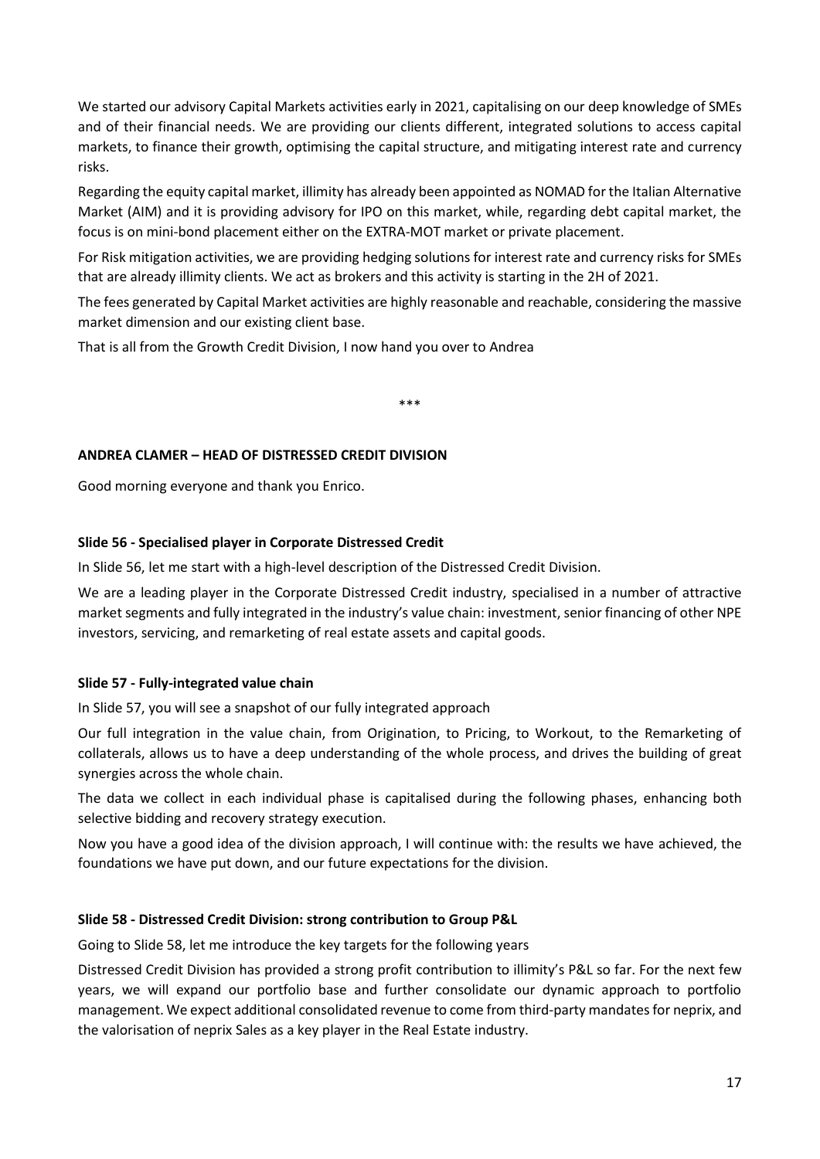We started our advisory Capital Markets activities early in 2021, capitalising on our deep knowledge of SMEs and of their financial needs. We are providing our clients different, integrated solutions to access capital markets, to finance their growth, optimising the capital structure, and mitigating interest rate and currency risks.

Regarding the equity capital market, illimity has already been appointed as NOMAD for the Italian Alternative Market (AIM) and it is providing advisory for IPO on this market, while, regarding debt capital market, the focus is on mini-bond placement either on the EXTRA-MOT market or private placement.

For Risk mitigation activities, we are providing hedging solutions for interest rate and currency risks for SMEs that are already illimity clients. We act as brokers and this activity is starting in the 2H of 2021.

The fees generated by Capital Market activities are highly reasonable and reachable, considering the massive market dimension and our existing client base.

That is all from the Growth Credit Division, I now hand you over to Andrea

\*\*\*

### **ANDREA CLAMER – HEAD OF DISTRESSED CREDIT DIVISION**

Good morning everyone and thank you Enrico.

### **Slide 56 - Specialised player in Corporate Distressed Credit**

In Slide 56, let me start with a high-level description of the Distressed Credit Division.

We are a leading player in the Corporate Distressed Credit industry, [specialised](https://dictionary.cambridge.org/pronunciation/english/specialized) in a number of attractive market segments and fully integrated in the industry's value chain: investment, senior financing of other NPE investors, servicing, and remarketing of real estate assets and capital goods.

#### **Slide 57 - Fully-integrated value chain**

In Slide 57, you will see a snapshot of our fully integrated approach

Our full integration in the value chain, from Origination, to Pricing, to Workout, to the Remarketing of collaterals, allows us to have a deep understanding of the whole [process,](https://dictionary.cambridge.org/dictionary/english/process) and drives the building of great synergies across the whole chain.

The data we collect in each individual phase is capitalised during the following phases, [enhancing b](https://dictionary.cambridge.org/dictionary/english/enhance?q=enhancing)oth selective bidding and recovery strategy execution.

Now you have a good idea of the division approach, I will continue with: the results we have [achieved,](https://dictionary.cambridge.org/dictionary/english/achieve?q=achieved) the foundations we have put down, and our future expectations for the division.

### **Slide 58 - Distressed Credit Division: strong contribution to Group P&L**

Going to Slide 58, let me introduce the key targets for the following years

Distressed Credit Division has provided a strong profit [contribution](https://dictionary.cambridge.org/dictionary/english/contribution?q=contribution+) to illimity's P&L so far. For the next few years, we will expand our portfolio base and further consolidate our dynamic approach to portfolio management. We expect additional [consolidated](https://dictionary.cambridge.org/dictionary/english/consolidated) revenue to come from third-party mandates for neprix, and the valorisation of neprix Sales as a key player in the Real Estate industry.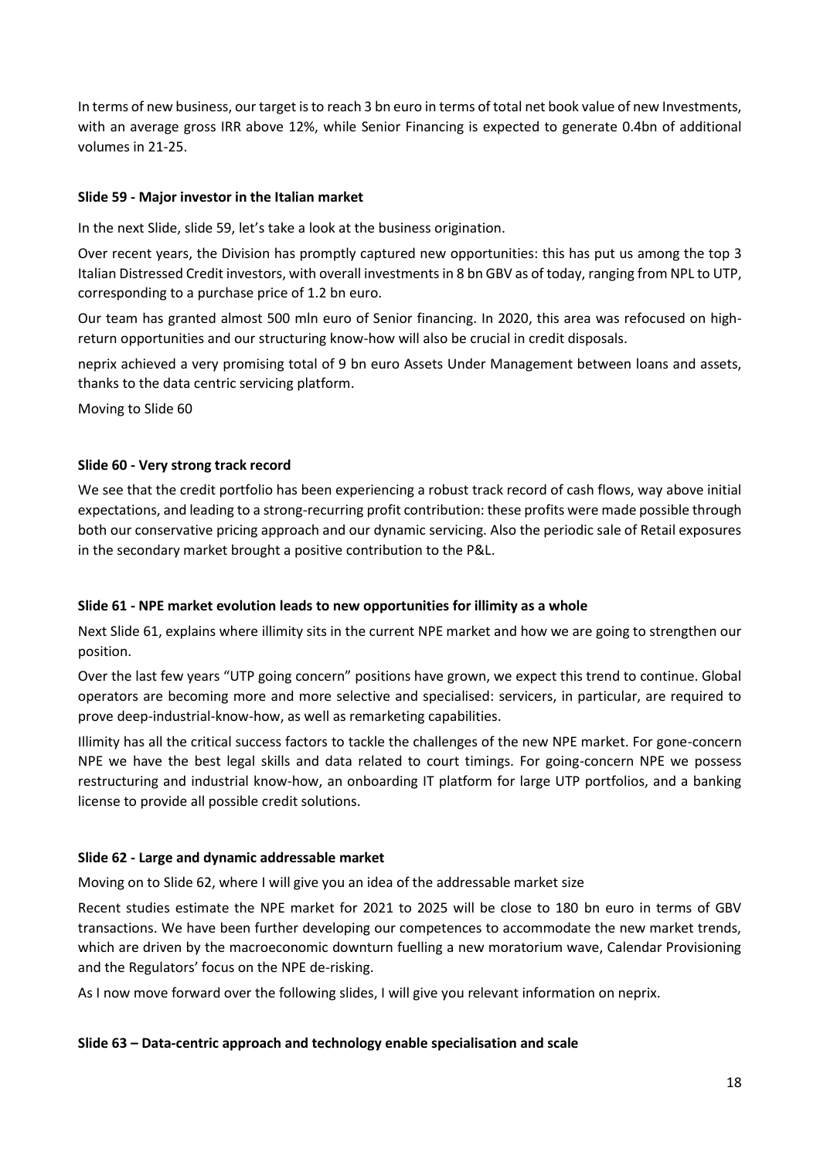In terms of new business, our target is to reach 3 bn euro in terms of total net book value of new Investments, with an average gross IRR above 12%, while Senior [Financing is](https://dictionary.cambridge.org/dictionary/english/financing?q=Financing+) expected to generate 0.4bn of additional volumes in 21-25.

# **Slide 59 - Major investor in the Italian market**

In the next Slide, slide 59, let's take a look at the business origination.

Over [recent](https://dictionary.cambridge.org/dictionary/english/recent) years, the Division has promptly captured new opportunities: this has put us among the top 3 Italian Distressed Credit investors, with [overall](https://dictionary.cambridge.org/dictionary/english/overall) investments in 8 bn GBV as of today, ranging from NPL to UTP, corresponding to a purchase price of 1.2 bn euro.

[Our t](https://dictionary.cambridge.org/dictionary/english/our)eam has granted almost 500 mln euro of Senior financing. In 2020, this area was refocused on highreturn opportunities and our structuring know-how will also be crucial in credit disposals.

neprix achieved a very [promising](https://dictionary.cambridge.org/dictionary/english/promising) total of 9 bn euro Assets Under Management between loans and assets, thanks to the data centric servicing platform.

Moving to Slide 60

## **Slide 60 - Very strong track record**

We see that the credit portfolio has been experiencing a robust track record of cash flows, way above initial expectations, and leading to a strong[-recurring](https://dictionary.cambridge.org/dictionary/english/recurring) profit contribution: these profits were made possible through both our conservative pricing approach and our dynamic servicing. Also the periodic sale of Retail exposures in the secondary market brought a positive contribution to the P&L.

## **Slide 61 - NPE market evolution leads to new opportunities for illimity as a whole**

Next Slide 61, explains where illimity sits in the current NPE market and how we are going to strengthen our position.

Over the last few years "UTP going concern" positions have grown, we expect this trend to continue. Global operators are becoming more and more selective and specialised: servicers, in particular, are required to prove deep-industrial-know-how, as well as remarketing capabilities.

Illimity has all the critical success factors to tackle the challenges of the new NPE market. For gone-concern NPE we have the best legal skills and data related to court timings. For going-concern NPE we possess restructuring and industrial [know-how,](https://dictionary.cambridge.org/dictionary/english/know-how) an onboarding IT platform for large UTP portfolios, and a banking license to provide all possible credit solutions.

## **Slide 62 - Large and dynamic addressable market**

Moving on to Slide 62, where I will give you an idea of the addressable market size

Recent studies estimate the NPE market for 2021 to 2025 will be close to 180 bn euro in terms of GBV transactions. We have been further developing our competences to accommodate the new market trends, which are driven by the macroeconomic downturn fuelling a new moratorium wave, Calendar Provisioning and the Regulators' focus on the NPE de-risking.

As I now move forward over the following slides, I will give you relevant information on neprix.

## **Slide 63 – Data-centric approach and technology enable specialisation and scale**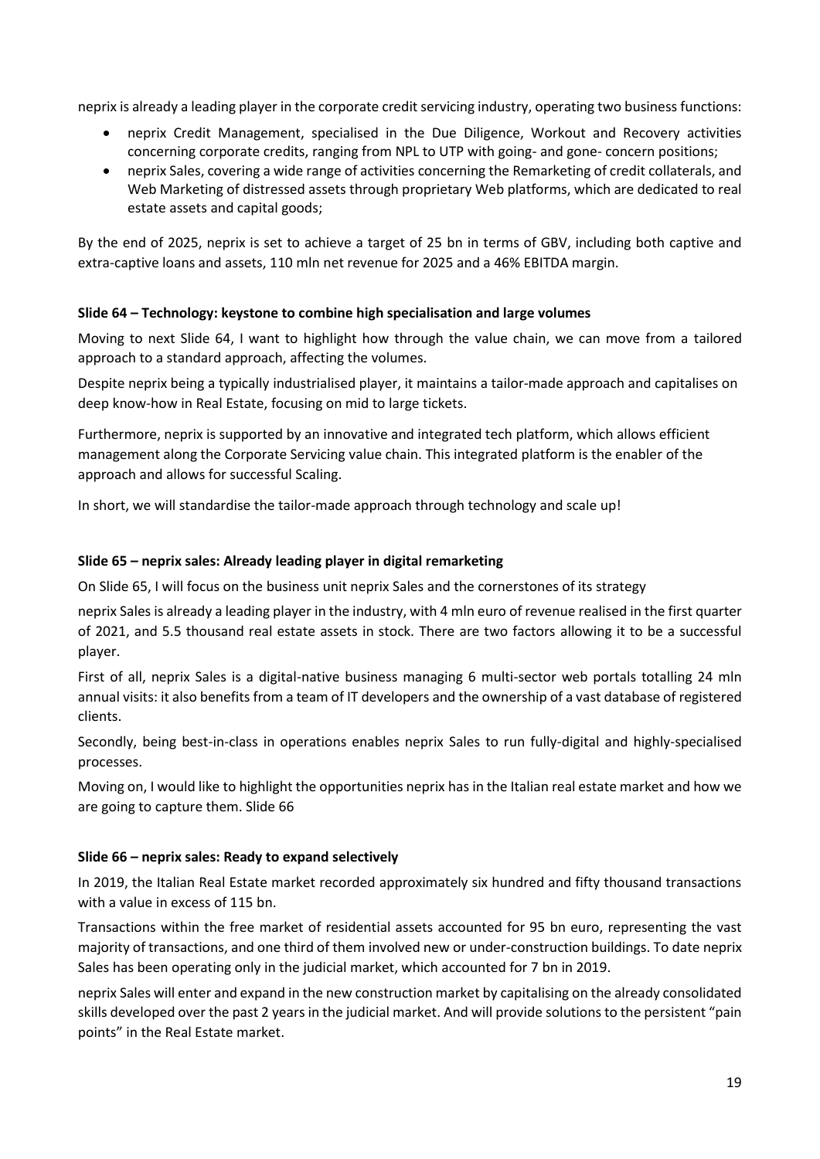neprix is already a leading player in the corporate credit servicing industry, operating two business functions:

- neprix Credit Management, specialised in the Due Diligence, Workout and Recovery activities concerning corporate credits, ranging from NPL to UTP with going- and gone- concern positions;
- neprix Sales, covering a wide range of activities concerning the Remarketing of credit collaterals, and Web Marketing of distressed assets through proprietary Web platforms, which are dedicated to real estate assets and capital goods;

By the end of 2025, neprix is set to achieve a target of 25 bn in terms of GBV, including both captive and extra-captive loans and assets, 110 mln net revenue for 2025 and a 46% EBITDA margin.

## **Slide 64 – Technology: keystone to combine high specialisation and large volumes**

Moving to next Slide 64, I want to highlight how through the value chain, we can move from a [tailored](https://dictionary.cambridge.org/dictionary/english/tailor?q=tailored+)  approach to a standard approach, affecting the volumes.

Despite neprix being a typically [industrialised](https://dictionary.cambridge.org/dictionary/english/industrialized?q=industrialised) player, i[t maintains](https://dictionary.cambridge.org/dictionary/english/maintain?q=maintains) a tailor-made approach and capitalises on deep know-how in Real Estate, focusing on mid to large tickets.

Furthermore, neprix is supported by a[n innovative a](https://dictionary.cambridge.org/dictionary/english/innovative?q=innovative+)nd integrated tech platform, which allows efficient management along the Corporate Servicing value chain. This integrated platform is the enabler of the approach and allows for successful Scaling.

In short, we will standardise the tailor-made approach through technology and scale up!

### **Slide 65 – neprix sales: Already leading player in digital remarketing**

On Slide 65, I will focus on the business unit neprix Sales and the cornerstones of its strategy

neprix Sales is already a leading player in the industry, with 4 mln euro of revenue realised in the first quarter of 2021, and 5.5 thousand real estate assets in stock. There are two factors allowing it to be a successful player.

First of all, neprix Sales is a digital-native business managing 6 multi-sector web portals totalling 24 mln annual visits: it also benefits from a team of IT developers and the ownership of a vast database of registered clients.

Secondly, being best-in-class in operations enables neprix Sales to run fully-digital and highly-specialised processes.

Moving on, I would like to highlight the opportunities neprix has in the Italian real estate market and how we are going to capture them. Slide 66

#### **Slide 66 – neprix sales: Ready to expand selectively**

In 2019, the Italian Real Estate market recorded approximately six hundred and fifty thousand transactions with a value in excess of 115 bn.

Transactions within the free market of residential assets accounted for 95 bn euro, representing the vast majority of transactions, and one third of them involved new or under-construction buildings. To date neprix Sales has been operating only in the judicial market, which accounted for 7 bn in 2019.

neprix Sales will enter and expand in the new construction market by [capitalising o](https://dictionary.cambridge.org/dictionary/english/capitalize?q=+capitalising+)n the already consolidated skills developed over the past 2 years in the judicial market. And will provide solutions to the persistent "pain points" in the Real Estate market.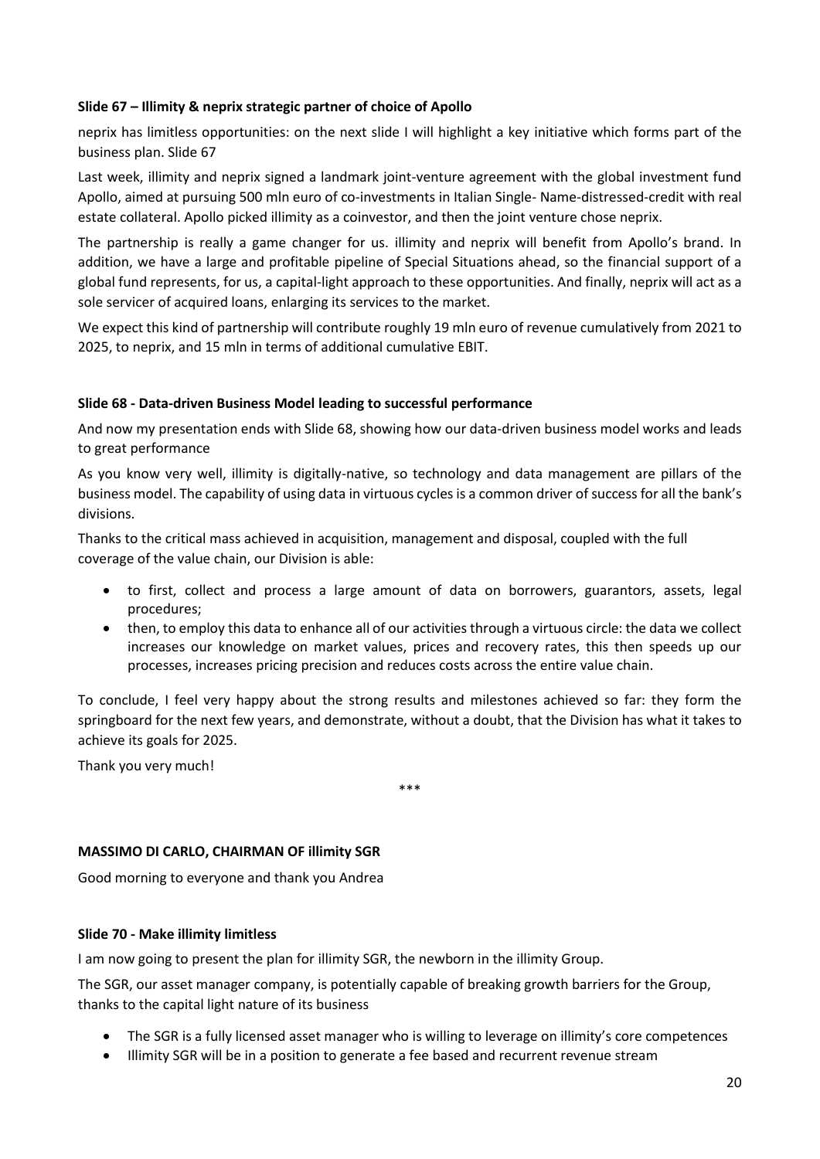### **Slide 67 – Illimity & neprix strategic partner of choice of Apollo**

neprix has limitless opportunities: on the next slide I will highlight a key initiative which forms part of the business plan. Slide 67

Last week, illimity and neprix signed a landmark joint-venture agreement with the global investment fund Apollo, aimed at pursuing 500 mln euro of co-investments in Italian Single- Name-distressed-credit with real estate collateral. Apollo picked illimity as a coinvestor, and then the joint venture chose neprix.

The partnership is really a game changer for us. illimity and neprix will benefit from Apollo's brand. In addition, we have a large and profitable pipeline of Special Situations ahead, so the financial support of a global fund represents, for us, a capital-light approach to these opportunities. And finally, neprix will act as a sole servicer of acquired loans, enlarging its services to the market.

We expect this kind of partnership will contribute roughly 19 mln euro of revenue cumulatively from 2021 to 2025, to neprix, and 15 mln in terms of additional cumulative EBIT.

### **Slide 68 - Data-driven Business Model leading to successful performance**

And now my presentation ends with Slide 68, showing how our data-driven business model works and leads to great performance

As you know very well, illimity is digitally-native, so technology and data management are pillars of the business model. The capability of using data in virtuous cycles is a common driver of success for all the bank's divisions.

Thanks to the critical mass achieved in acquisition, management and disposal, coupled with the full coverage of the value chain, our Division is able:

- to first, collect and process a large amount of data on borrowers, guarantors, assets, legal procedures;
- then, to employ this data to enhance all of our activities through a virtuous circle: the data we collect increases our knowledge on market values, prices and recovery rates, this then speeds up our processes, increases pricing precision and reduces costs across the entire value chain.

To conclude, I feel very happy about the strong results and milestones achieved so far: they form the springboard for the next few years, and demonstrate, without a doubt, that the Division has what it takes to achieve its goals for 2025.

\*\*\*

Thank you very much!

## **MASSIMO DI CARLO, CHAIRMAN OF illimity SGR**

Good morning to everyone and thank you Andrea

#### **Slide 70 - Make illimity limitless**

I am now going to present the plan for illimity SGR, the newborn in the illimity Group.

The SGR, our asset manager company, is potentially capable of breaking growth barriers for the Group, thanks to the capital light nature of its business

- The SGR is a fully licensed asset manager who is willing to leverage on illimity's core competences
- Illimity SGR will be in a position to generate a fee based and recurrent revenue stream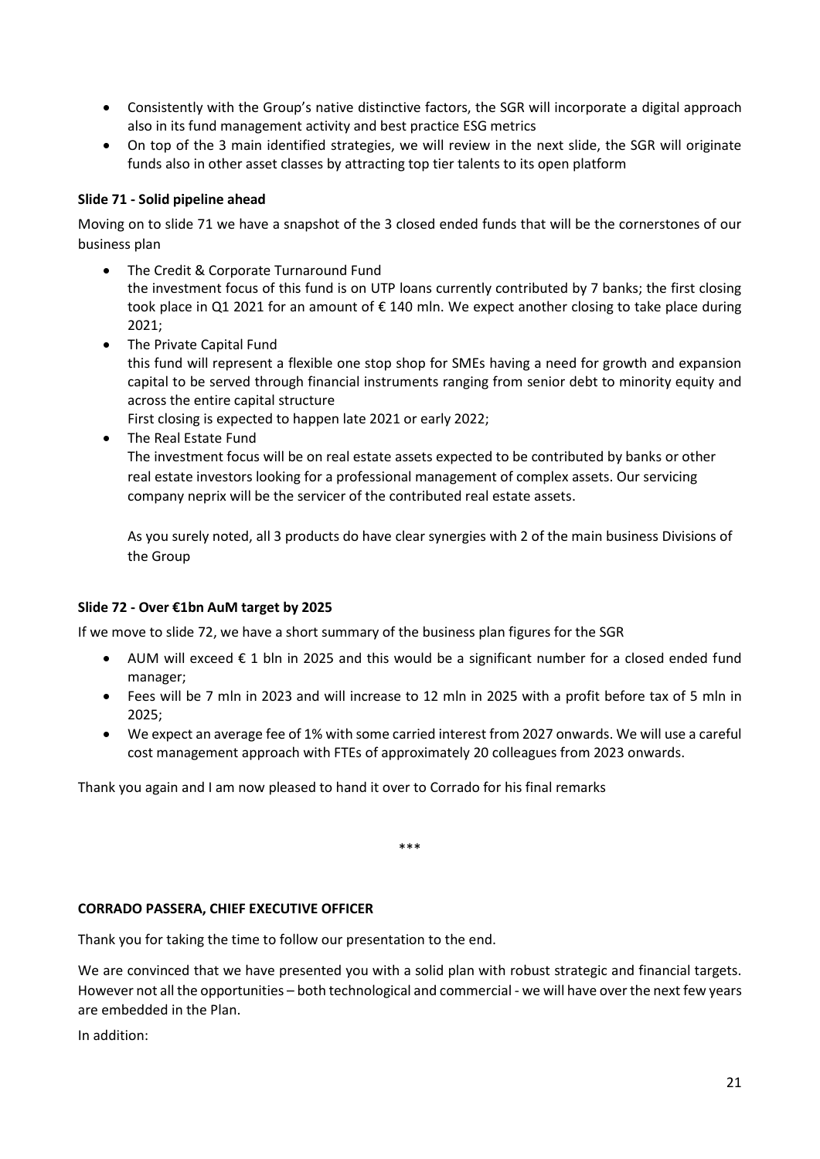- Consistently with the Group's native distinctive factors, the SGR will incorporate a digital approach also in its fund management activity and best practice ESG metrics
- On top of the 3 main identified strategies, we will review in the next slide, the SGR will originate funds also in other asset classes by attracting top tier talents to its open platform

## **Slide 71 - Solid pipeline ahead**

Moving on to slide 71 we have a snapshot of the 3 closed ended funds that will be the cornerstones of our business plan

- The Credit & Corporate Turnaround Fund the investment focus of this fund is on UTP loans currently contributed by 7 banks; the first closing took place in Q1 2021 for an amount of € 140 mln. We expect another closing to take place during 2021;
- The Private Capital Fund this fund will represent a flexible one stop shop for SMEs having a need for growth and expansion capital to be served through financial instruments ranging from senior debt to minority equity and across the entire capital structure First closing is expected to happen late 2021 or early 2022;
- The Real Estate Fund

The investment focus will be on real estate assets expected to be contributed by banks or other real estate investors looking for a professional management of complex assets. Our servicing company neprix will be the servicer of the contributed real estate assets.

As you surely noted, all 3 products do have clear synergies with 2 of the main business Divisions of the Group

#### **Slide 72 - Over €1bn AuM target by 2025**

If we move to slide 72, we have a short summary of the business plan figures for the SGR

- AUM will exceed € 1 bln in 2025 and this would be a significant number for a closed ended fund manager;
- Fees will be 7 mln in 2023 and will increase to 12 mln in 2025 with a profit before tax of 5 mln in 2025;
- We expect an average fee of 1% with some carried interest from 2027 onwards. We will use a careful cost management approach with FTEs of approximately 20 colleagues from 2023 onwards.

Thank you again and I am now pleased to hand it over to Corrado for his final remarks

\*\*\*

### **CORRADO PASSERA, CHIEF EXECUTIVE OFFICER**

Thank you for taking the time to follow our presentation to the end.

We are convinced that we have presented you with a solid plan with robust strategic and financial targets. However not all the opportunities – both technological and commercial - we will have over the next few years are embedded in the Plan.

In addition: